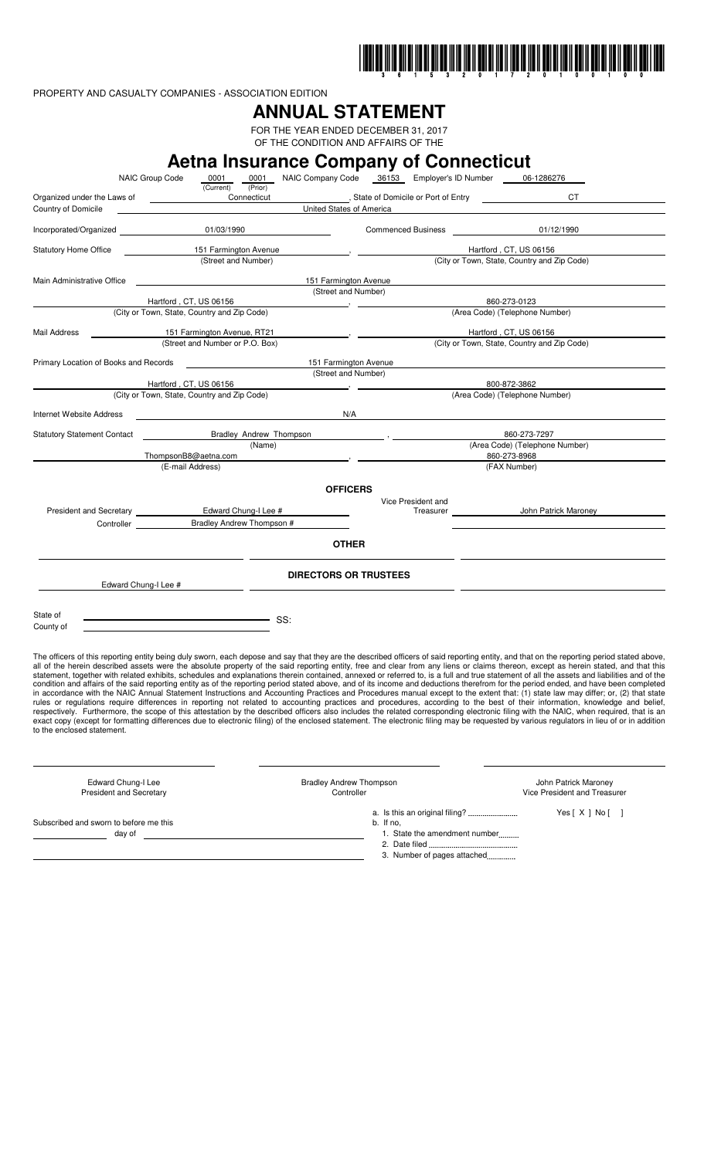

PROPERTY AND CASUALTY COMPANIES - ASSOCIATION EDITION

# **ANNUAL STATEMENT**

FOR THE YEAR ENDED DECEMBER 31, 2017 OF THE CONDITION AND AFFAIRS OF THE

|                                       |                                                     |                         |                              | <b>Aetna Insurance Company of Connecticut</b>     |                                             |                                                                                                                                                                                                                                                                                                                                                                                  |
|---------------------------------------|-----------------------------------------------------|-------------------------|------------------------------|---------------------------------------------------|---------------------------------------------|----------------------------------------------------------------------------------------------------------------------------------------------------------------------------------------------------------------------------------------------------------------------------------------------------------------------------------------------------------------------------------|
|                                       | NAIC Group Code<br>0001<br>(Current)                | (Prior)                 |                              | 0001 NAIC Company Code 36153 Employer's ID Number |                                             | 06-1286276                                                                                                                                                                                                                                                                                                                                                                       |
| Organized under the Laws of           |                                                     | Connecticut             |                              | State of Domicile or Port of Entry [1994]         |                                             | CT                                                                                                                                                                                                                                                                                                                                                                               |
| Country of Domicile                   |                                                     |                         | United States of America     |                                                   |                                             |                                                                                                                                                                                                                                                                                                                                                                                  |
|                                       | 01/03/1990                                          |                         |                              | <b>Commenced Business</b>                         |                                             | 01/12/1990                                                                                                                                                                                                                                                                                                                                                                       |
| <b>Statutory Home Office</b>          | 151 Farmington Avenue                               |                         |                              |                                                   | Hartford, CT, US 06156                      |                                                                                                                                                                                                                                                                                                                                                                                  |
|                                       | (Street and Number)                                 |                         |                              |                                                   | (City or Town, State, Country and Zip Code) |                                                                                                                                                                                                                                                                                                                                                                                  |
| Main Administrative Office            |                                                     |                         | 151 Farmington Avenue        |                                                   |                                             |                                                                                                                                                                                                                                                                                                                                                                                  |
|                                       |                                                     |                         | (Street and Number)          |                                                   |                                             |                                                                                                                                                                                                                                                                                                                                                                                  |
|                                       | Hartford, CT, US 06156                              |                         |                              |                                                   | 860-273-0123                                |                                                                                                                                                                                                                                                                                                                                                                                  |
|                                       | (City or Town, State, Country and Zip Code)         |                         |                              |                                                   | (Area Code) (Telephone Number)              |                                                                                                                                                                                                                                                                                                                                                                                  |
| Mail Address                          | 151 Farmington Avenue, RT21                         |                         |                              |                                                   | Hartford, CT, US 06156                      |                                                                                                                                                                                                                                                                                                                                                                                  |
|                                       | (Street and Number or P.O. Box)                     |                         |                              |                                                   | (City or Town, State, Country and Zip Code) |                                                                                                                                                                                                                                                                                                                                                                                  |
| Primary Location of Books and Records |                                                     |                         | 151 Farmington Avenue        |                                                   |                                             |                                                                                                                                                                                                                                                                                                                                                                                  |
|                                       |                                                     |                         | (Street and Number)          |                                                   |                                             |                                                                                                                                                                                                                                                                                                                                                                                  |
|                                       | Hartford, CT, US 06156                              |                         |                              |                                                   | 800-872-3862                                |                                                                                                                                                                                                                                                                                                                                                                                  |
|                                       | (City or Town, State, Country and Zip Code)         |                         |                              |                                                   | (Area Code) (Telephone Number)              |                                                                                                                                                                                                                                                                                                                                                                                  |
| Internet Website Address              | N/A                                                 |                         |                              |                                                   |                                             |                                                                                                                                                                                                                                                                                                                                                                                  |
| <b>Statutory Statement Contact</b>    |                                                     | Bradley Andrew Thompson |                              |                                                   | 860-273-7297                                |                                                                                                                                                                                                                                                                                                                                                                                  |
|                                       |                                                     | (Name)                  |                              |                                                   | (Area Code) (Telephone Number)              |                                                                                                                                                                                                                                                                                                                                                                                  |
|                                       | ThompsonB8@aetna.com                                |                         |                              |                                                   | 860-273-8968                                |                                                                                                                                                                                                                                                                                                                                                                                  |
|                                       | (E-mail Address)                                    |                         |                              |                                                   | (FAX Number)                                |                                                                                                                                                                                                                                                                                                                                                                                  |
|                                       |                                                     |                         | <b>OFFICERS</b>              |                                                   |                                             |                                                                                                                                                                                                                                                                                                                                                                                  |
|                                       |                                                     |                         |                              | Vice President and                                |                                             |                                                                                                                                                                                                                                                                                                                                                                                  |
|                                       | President and Secretary <b>Edward Chung-I Lee #</b> |                         |                              |                                                   |                                             |                                                                                                                                                                                                                                                                                                                                                                                  |
|                                       | Bradley Andrew Thompson #<br>Controller             |                         |                              |                                                   |                                             |                                                                                                                                                                                                                                                                                                                                                                                  |
|                                       |                                                     |                         | <b>OTHER</b>                 |                                                   |                                             |                                                                                                                                                                                                                                                                                                                                                                                  |
|                                       |                                                     |                         |                              |                                                   |                                             |                                                                                                                                                                                                                                                                                                                                                                                  |
|                                       | Edward Chung-I Lee #                                |                         | <b>DIRECTORS OR TRUSTEES</b> |                                                   |                                             |                                                                                                                                                                                                                                                                                                                                                                                  |
|                                       |                                                     |                         |                              |                                                   |                                             |                                                                                                                                                                                                                                                                                                                                                                                  |
| State of                              |                                                     |                         |                              |                                                   |                                             |                                                                                                                                                                                                                                                                                                                                                                                  |
| County of                             |                                                     |                         |                              |                                                   |                                             |                                                                                                                                                                                                                                                                                                                                                                                  |
|                                       |                                                     |                         |                              |                                                   |                                             |                                                                                                                                                                                                                                                                                                                                                                                  |
|                                       |                                                     |                         |                              |                                                   |                                             |                                                                                                                                                                                                                                                                                                                                                                                  |
|                                       |                                                     |                         |                              |                                                   |                                             | The officers of this reporting entity being duly sworn, each depose and say that they are the described officers of said reporting entity, and that on the reporting period stated above,<br>all of the herein described assets were the absolute property of the said reporting entity, free and clear from any liens or claims thereon, except as herein stated, and that this |
|                                       |                                                     |                         |                              |                                                   |                                             | statement, together with related exhibits, schedules and explanations therein contained, annexed or referred to, is a full and true statement of all the assets and liabilities and of the                                                                                                                                                                                       |
|                                       |                                                     |                         |                              |                                                   |                                             | condition and affairs of the said reporting entity as of the reporting period stated above, and of its income and deductions therefrom for the period ended, and have been completed<br>in accordance with the NAIC Annual Statement Instructions and Accounting Practices and Procedures manual except to the extent that: (1) state law may differ; or, (2) that state         |
|                                       |                                                     |                         |                              |                                                   |                                             | rules or regulations require differences in reporting not related to accounting practices and procedures, according to the best of their information, knowledge and belief,                                                                                                                                                                                                      |
|                                       |                                                     |                         |                              |                                                   |                                             | respectively. Furthermore, the scope of this attestation by the described officers also includes the related corresponding electronic filing with the NAIC, when required, that is an                                                                                                                                                                                            |
| to the enclosed statement.            |                                                     |                         |                              |                                                   |                                             | exact copy (except for formatting differences due to electronic filing) of the enclosed statement. The electronic filing may be requested by various regulators in lieu of or in addition                                                                                                                                                                                        |
|                                       |                                                     |                         |                              |                                                   |                                             |                                                                                                                                                                                                                                                                                                                                                                                  |
|                                       |                                                     |                         |                              |                                                   |                                             |                                                                                                                                                                                                                                                                                                                                                                                  |

| Edward Chung-I Lee                               | <b>Bradley Andrew Thompson</b>                                            | John Patrick Maroney         |
|--------------------------------------------------|---------------------------------------------------------------------------|------------------------------|
| <b>President and Secretary</b>                   | Controller                                                                | Vice President and Treasurer |
| Subscribed and sworn to before me this<br>day of | b. If no,<br>1. State the amendment number<br>3. Number of pages attached | Yes[X] No[]                  |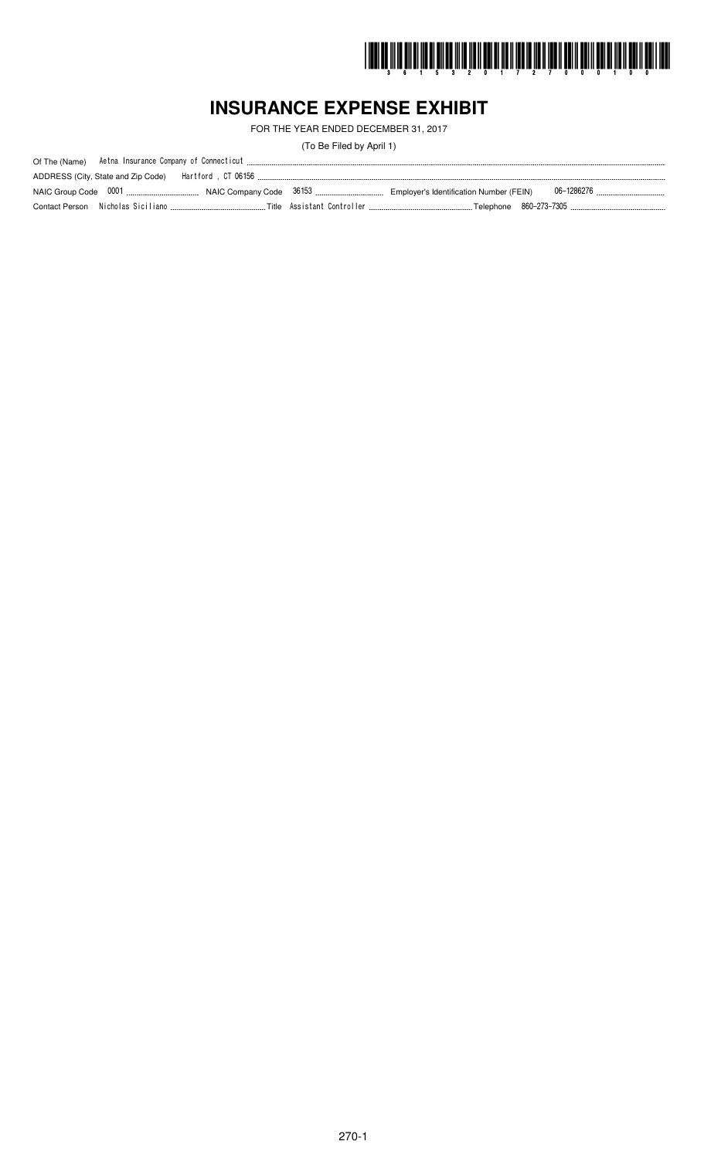

# **INSURANCE EXPENSE EXHIBIT**

FOR THE YEAR ENDED DECEMBER 31, 2017

(To Be Filed by April 1)

| Of The (Name) |                                    |  |  |
|---------------|------------------------------------|--|--|
|               | ADDRESS (City, State and Zip Code) |  |  |
|               |                                    |  |  |
|               |                                    |  |  |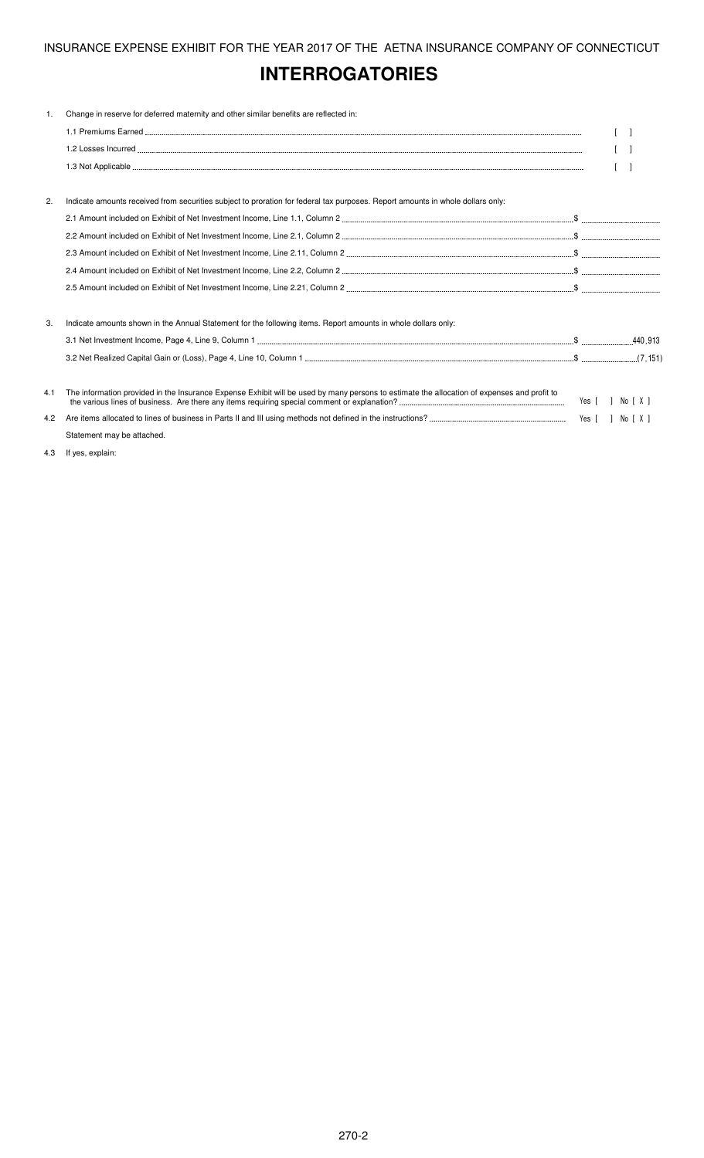# **INTERROGATORIES**

| 1.  | Change in reserve for deferred maternity and other similar benefits are reflected in:                                                       |                  |  |
|-----|---------------------------------------------------------------------------------------------------------------------------------------------|------------------|--|
|     |                                                                                                                                             |                  |  |
|     |                                                                                                                                             |                  |  |
|     |                                                                                                                                             |                  |  |
|     |                                                                                                                                             |                  |  |
| 2.  | Indicate amounts received from securities subject to proration for federal tax purposes. Report amounts in whole dollars only:              |                  |  |
|     |                                                                                                                                             |                  |  |
|     |                                                                                                                                             |                  |  |
|     |                                                                                                                                             |                  |  |
|     |                                                                                                                                             |                  |  |
|     |                                                                                                                                             |                  |  |
| 3.  | Indicate amounts shown in the Annual Statement for the following items. Report amounts in whole dollars only:                               |                  |  |
|     |                                                                                                                                             |                  |  |
|     |                                                                                                                                             |                  |  |
| 4.1 | The information provided in the Insurance Expense Exhibit will be used by many persons to estimate the allocation of expenses and profit to | Yes [ ] No [ X ] |  |
| 4.2 |                                                                                                                                             |                  |  |
|     | Statement may be attached.                                                                                                                  |                  |  |

4.3 If yes, explain: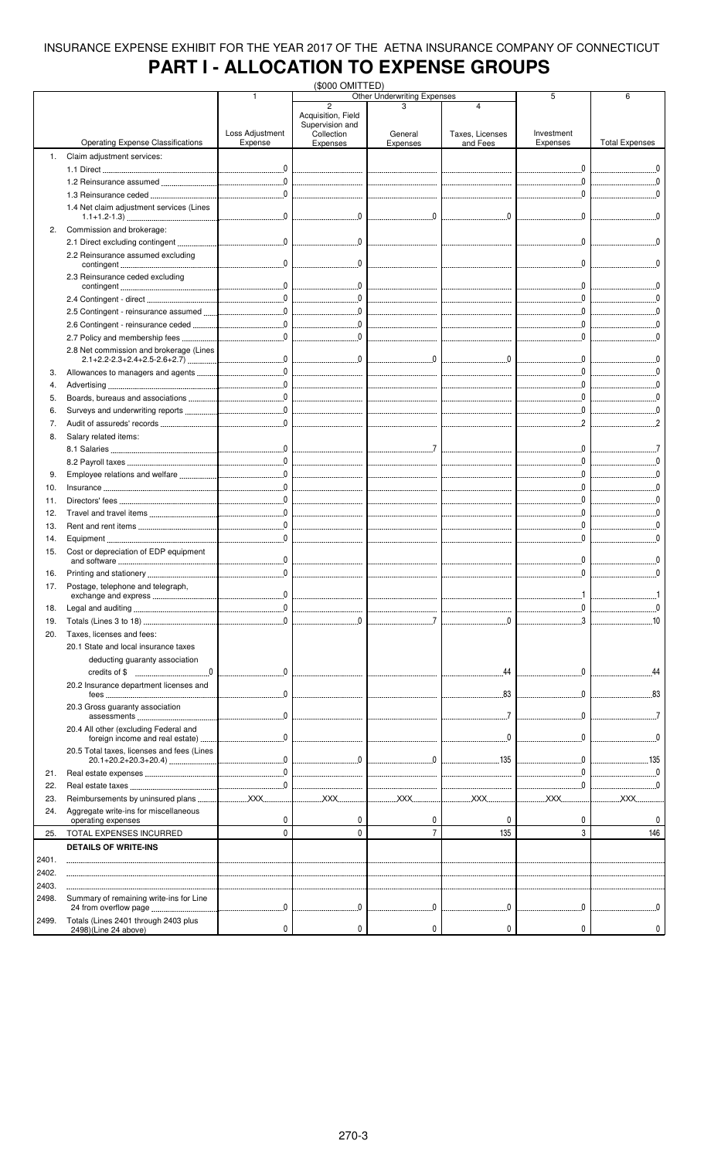# **PART I - ALLOCATION TO EXPENSE GROUPS**

| Other Underwriting Expenses<br>$\overline{2}$<br>4<br>Acquisition, Field<br>Supervision and<br>Loss Adjustment<br>Investment<br>Collection<br>Taxes, Licenses<br>General<br><b>Operating Expense Classifications</b><br><b>Total Expenses</b><br>Expense<br>Expenses<br>Expenses<br>Expenses<br>and Fees<br>Claim adjustment services:<br>1.<br>$\sim$ 0<br>1.2 Reinsurance assumed<br>1.4 Net claim adjustment services (Lines<br>$\overline{\mathbf{0}}$<br>$\Omega$<br>Commission and brokerage:<br>2.<br>$\begin{array}{c} \begin{array}{c} \begin{array}{c} \end{array} \end{array}$<br>2.2 Reinsurance assumed excluding<br>$\mathbf{0}$<br>2.3 Reinsurance ceded excluding<br>$\begin{array}{ccc} 0 & 0 & 0 \\ 0 & 0 & 0 \\ 0 & 0 & 0 \\ 0 & 0 & 0 \\ 0 & 0 & 0 \\ 0 & 0 & 0 \\ 0 & 0 & 0 \\ 0 & 0 & 0 \\ 0 & 0 & 0 \\ 0 & 0 & 0 \\ 0 & 0 & 0 \\ 0 & 0 & 0 \\ 0 & 0 & 0 \\ 0 & 0 & 0 & 0 \\ 0 & 0 & 0 & 0 \\ 0 & 0 & 0 & 0 \\ 0 & 0 & 0 & 0 & 0 \\ 0 & 0 & 0 & 0 & 0 \\ 0 & 0 & 0 & 0 & 0 \\ 0 & 0 & 0 & 0 & 0 &$<br>$\overline{\phantom{a}}$<br>$\begin{picture}(20,20) \put(0,0){\vector(1,0){10}} \put(15,0){\vector(1,0){10}} \put(15,0){\vector(1,0){10}} \put(15,0){\vector(1,0){10}} \put(15,0){\vector(1,0){10}} \put(15,0){\vector(1,0){10}} \put(15,0){\vector(1,0){10}} \put(15,0){\vector(1,0){10}} \put(15,0){\vector(1,0){10}} \put(15,0){\vector(1,0){10}} \put(15,0){\vector(1,0){10}} \put(15,0){\vector(1$<br><br>0<br>2.8 Net commission and brokerage (Lines<br>$\begin{array}{c} \multicolumn{3}{c}{} & 0 \end{array}$<br>3.<br>4.<br><br>5.<br>6.<br>7.<br>Salary related items:<br>8.<br>9.<br>$\begin{bmatrix} 0 & 0 & 0 \\ 0 & 0 & 0 \\ 0 & 0 & 0 \\ 0 & 0 & 0 \\ 0 & 0 & 0 \\ 0 & 0 & 0 \\ 0 & 0 & 0 \\ 0 & 0 & 0 \\ 0 & 0 & 0 \\ 0 & 0 & 0 \\ 0 & 0 & 0 \\ 0 & 0 & 0 \\ 0 & 0 & 0 \\ 0 & 0 & 0 & 0 \\ 0 & 0 & 0 & 0 \\ 0 & 0 & 0 & 0 \\ 0 & 0 & 0 & 0 & 0 \\ 0 & 0 & 0 & 0 & 0 \\ 0 & 0 & 0 & 0 & 0 \\ 0 & 0 & 0 & 0 & 0 & $<br>10.<br>$\begin{array}{ccc} 0 & 0 & 0 \\ \end{array}$<br>11.<br>12.<br>13.<br>14.<br>15.<br>Cost or depreciation of EDP equipment<br>16.<br>Postage, telephone and telegraph,<br>17.<br>0.<br>exchange and express<br>18.<br>$\mathbf{0}$<br>19.<br>Taxes, licenses and fees:<br>20.<br>20.1 State and local insurance taxes<br>deducting guaranty association<br>44<br>20.2 Insurance department licenses and<br>83<br>20.3 Gross guaranty association<br>0<br>20.4 All other (excluding Federal and<br>foreign income and real estate)<br>20.5 Total taxes, licenses and fees (Lines<br>135<br>. 135<br>---------------------------<br>21.<br>________________________________<br><br><br>22.<br>--------------------------------<br>--------------------------------<br>--------------------------------<br><u></u> XXX<br><u>XXX</u><br><u> XXX</u><br><u>xxx</u><br>XXX.<br>23.<br>Aggregate write-ins for miscellaneous<br>24.<br>0<br>0<br>0<br>0<br>0<br>operating expenses<br>$\overline{7}$<br>3<br>$\mathbf 0$<br>$\mathbf 0$<br>135<br>146<br>TOTAL EXPENSES INCURRED<br>25.<br><b>DETAILS OF WRITE-INS</b><br>2401.<br>2402.<br>2403.<br>Summary of remaining write-ins for Line<br>2498.<br>0<br>$\mathbf{0}$<br>$\mathbf{0}$<br>$\mathbf{0}$<br>Totals (Lines 2401 through 2403 plus<br>2499. |                      |   | (\$000 OMITTED) |   |   |   |   |
|-------------------------------------------------------------------------------------------------------------------------------------------------------------------------------------------------------------------------------------------------------------------------------------------------------------------------------------------------------------------------------------------------------------------------------------------------------------------------------------------------------------------------------------------------------------------------------------------------------------------------------------------------------------------------------------------------------------------------------------------------------------------------------------------------------------------------------------------------------------------------------------------------------------------------------------------------------------------------------------------------------------------------------------------------------------------------------------------------------------------------------------------------------------------------------------------------------------------------------------------------------------------------------------------------------------------------------------------------------------------------------------------------------------------------------------------------------------------------------------------------------------------------------------------------------------------------------------------------------------------------------------------------------------------------------------------------------------------------------------------------------------------------------------------------------------------------------------------------------------------------------------------------------------------------------------------------------------------------------------------------------------------------------------------------------------------------------------------------------------------------------------------------------------------------------------------------------------------------------------------------------------------------------------------------------------------------------------------------------------------------------------------------------------------------------------------------------------------------------------------------------------------------------------------------------------------------------------------------------------------------------------------------------------------------------------------------------------------------------------------------------------------------------------------------------------------------------------------------------------------------------------------------------------------------------------------------------------------------------------------------------------------------------------------------------------------------------------------------------------------------------------------------------------------------------------------------------------------------------------------------------------------------------|----------------------|---|-----------------|---|---|---|---|
|                                                                                                                                                                                                                                                                                                                                                                                                                                                                                                                                                                                                                                                                                                                                                                                                                                                                                                                                                                                                                                                                                                                                                                                                                                                                                                                                                                                                                                                                                                                                                                                                                                                                                                                                                                                                                                                                                                                                                                                                                                                                                                                                                                                                                                                                                                                                                                                                                                                                                                                                                                                                                                                                                                                                                                                                                                                                                                                                                                                                                                                                                                                                                                                                                                                                               |                      |   |                 |   |   | 5 | 6 |
|                                                                                                                                                                                                                                                                                                                                                                                                                                                                                                                                                                                                                                                                                                                                                                                                                                                                                                                                                                                                                                                                                                                                                                                                                                                                                                                                                                                                                                                                                                                                                                                                                                                                                                                                                                                                                                                                                                                                                                                                                                                                                                                                                                                                                                                                                                                                                                                                                                                                                                                                                                                                                                                                                                                                                                                                                                                                                                                                                                                                                                                                                                                                                                                                                                                                               |                      |   |                 |   |   |   |   |
|                                                                                                                                                                                                                                                                                                                                                                                                                                                                                                                                                                                                                                                                                                                                                                                                                                                                                                                                                                                                                                                                                                                                                                                                                                                                                                                                                                                                                                                                                                                                                                                                                                                                                                                                                                                                                                                                                                                                                                                                                                                                                                                                                                                                                                                                                                                                                                                                                                                                                                                                                                                                                                                                                                                                                                                                                                                                                                                                                                                                                                                                                                                                                                                                                                                                               |                      |   |                 |   |   |   |   |
|                                                                                                                                                                                                                                                                                                                                                                                                                                                                                                                                                                                                                                                                                                                                                                                                                                                                                                                                                                                                                                                                                                                                                                                                                                                                                                                                                                                                                                                                                                                                                                                                                                                                                                                                                                                                                                                                                                                                                                                                                                                                                                                                                                                                                                                                                                                                                                                                                                                                                                                                                                                                                                                                                                                                                                                                                                                                                                                                                                                                                                                                                                                                                                                                                                                                               |                      |   |                 |   |   |   |   |
|                                                                                                                                                                                                                                                                                                                                                                                                                                                                                                                                                                                                                                                                                                                                                                                                                                                                                                                                                                                                                                                                                                                                                                                                                                                                                                                                                                                                                                                                                                                                                                                                                                                                                                                                                                                                                                                                                                                                                                                                                                                                                                                                                                                                                                                                                                                                                                                                                                                                                                                                                                                                                                                                                                                                                                                                                                                                                                                                                                                                                                                                                                                                                                                                                                                                               |                      |   |                 |   |   |   |   |
|                                                                                                                                                                                                                                                                                                                                                                                                                                                                                                                                                                                                                                                                                                                                                                                                                                                                                                                                                                                                                                                                                                                                                                                                                                                                                                                                                                                                                                                                                                                                                                                                                                                                                                                                                                                                                                                                                                                                                                                                                                                                                                                                                                                                                                                                                                                                                                                                                                                                                                                                                                                                                                                                                                                                                                                                                                                                                                                                                                                                                                                                                                                                                                                                                                                                               |                      |   |                 |   |   |   |   |
|                                                                                                                                                                                                                                                                                                                                                                                                                                                                                                                                                                                                                                                                                                                                                                                                                                                                                                                                                                                                                                                                                                                                                                                                                                                                                                                                                                                                                                                                                                                                                                                                                                                                                                                                                                                                                                                                                                                                                                                                                                                                                                                                                                                                                                                                                                                                                                                                                                                                                                                                                                                                                                                                                                                                                                                                                                                                                                                                                                                                                                                                                                                                                                                                                                                                               |                      |   |                 |   |   |   |   |
|                                                                                                                                                                                                                                                                                                                                                                                                                                                                                                                                                                                                                                                                                                                                                                                                                                                                                                                                                                                                                                                                                                                                                                                                                                                                                                                                                                                                                                                                                                                                                                                                                                                                                                                                                                                                                                                                                                                                                                                                                                                                                                                                                                                                                                                                                                                                                                                                                                                                                                                                                                                                                                                                                                                                                                                                                                                                                                                                                                                                                                                                                                                                                                                                                                                                               |                      |   |                 |   |   |   |   |
|                                                                                                                                                                                                                                                                                                                                                                                                                                                                                                                                                                                                                                                                                                                                                                                                                                                                                                                                                                                                                                                                                                                                                                                                                                                                                                                                                                                                                                                                                                                                                                                                                                                                                                                                                                                                                                                                                                                                                                                                                                                                                                                                                                                                                                                                                                                                                                                                                                                                                                                                                                                                                                                                                                                                                                                                                                                                                                                                                                                                                                                                                                                                                                                                                                                                               |                      |   |                 |   |   |   |   |
|                                                                                                                                                                                                                                                                                                                                                                                                                                                                                                                                                                                                                                                                                                                                                                                                                                                                                                                                                                                                                                                                                                                                                                                                                                                                                                                                                                                                                                                                                                                                                                                                                                                                                                                                                                                                                                                                                                                                                                                                                                                                                                                                                                                                                                                                                                                                                                                                                                                                                                                                                                                                                                                                                                                                                                                                                                                                                                                                                                                                                                                                                                                                                                                                                                                                               |                      |   |                 |   |   |   |   |
|                                                                                                                                                                                                                                                                                                                                                                                                                                                                                                                                                                                                                                                                                                                                                                                                                                                                                                                                                                                                                                                                                                                                                                                                                                                                                                                                                                                                                                                                                                                                                                                                                                                                                                                                                                                                                                                                                                                                                                                                                                                                                                                                                                                                                                                                                                                                                                                                                                                                                                                                                                                                                                                                                                                                                                                                                                                                                                                                                                                                                                                                                                                                                                                                                                                                               |                      |   |                 |   |   |   |   |
|                                                                                                                                                                                                                                                                                                                                                                                                                                                                                                                                                                                                                                                                                                                                                                                                                                                                                                                                                                                                                                                                                                                                                                                                                                                                                                                                                                                                                                                                                                                                                                                                                                                                                                                                                                                                                                                                                                                                                                                                                                                                                                                                                                                                                                                                                                                                                                                                                                                                                                                                                                                                                                                                                                                                                                                                                                                                                                                                                                                                                                                                                                                                                                                                                                                                               |                      |   |                 |   |   |   |   |
|                                                                                                                                                                                                                                                                                                                                                                                                                                                                                                                                                                                                                                                                                                                                                                                                                                                                                                                                                                                                                                                                                                                                                                                                                                                                                                                                                                                                                                                                                                                                                                                                                                                                                                                                                                                                                                                                                                                                                                                                                                                                                                                                                                                                                                                                                                                                                                                                                                                                                                                                                                                                                                                                                                                                                                                                                                                                                                                                                                                                                                                                                                                                                                                                                                                                               |                      |   |                 |   |   |   |   |
|                                                                                                                                                                                                                                                                                                                                                                                                                                                                                                                                                                                                                                                                                                                                                                                                                                                                                                                                                                                                                                                                                                                                                                                                                                                                                                                                                                                                                                                                                                                                                                                                                                                                                                                                                                                                                                                                                                                                                                                                                                                                                                                                                                                                                                                                                                                                                                                                                                                                                                                                                                                                                                                                                                                                                                                                                                                                                                                                                                                                                                                                                                                                                                                                                                                                               |                      |   |                 |   |   |   |   |
|                                                                                                                                                                                                                                                                                                                                                                                                                                                                                                                                                                                                                                                                                                                                                                                                                                                                                                                                                                                                                                                                                                                                                                                                                                                                                                                                                                                                                                                                                                                                                                                                                                                                                                                                                                                                                                                                                                                                                                                                                                                                                                                                                                                                                                                                                                                                                                                                                                                                                                                                                                                                                                                                                                                                                                                                                                                                                                                                                                                                                                                                                                                                                                                                                                                                               |                      |   |                 |   |   |   |   |
|                                                                                                                                                                                                                                                                                                                                                                                                                                                                                                                                                                                                                                                                                                                                                                                                                                                                                                                                                                                                                                                                                                                                                                                                                                                                                                                                                                                                                                                                                                                                                                                                                                                                                                                                                                                                                                                                                                                                                                                                                                                                                                                                                                                                                                                                                                                                                                                                                                                                                                                                                                                                                                                                                                                                                                                                                                                                                                                                                                                                                                                                                                                                                                                                                                                                               |                      |   |                 |   |   |   |   |
|                                                                                                                                                                                                                                                                                                                                                                                                                                                                                                                                                                                                                                                                                                                                                                                                                                                                                                                                                                                                                                                                                                                                                                                                                                                                                                                                                                                                                                                                                                                                                                                                                                                                                                                                                                                                                                                                                                                                                                                                                                                                                                                                                                                                                                                                                                                                                                                                                                                                                                                                                                                                                                                                                                                                                                                                                                                                                                                                                                                                                                                                                                                                                                                                                                                                               |                      |   |                 |   |   |   |   |
|                                                                                                                                                                                                                                                                                                                                                                                                                                                                                                                                                                                                                                                                                                                                                                                                                                                                                                                                                                                                                                                                                                                                                                                                                                                                                                                                                                                                                                                                                                                                                                                                                                                                                                                                                                                                                                                                                                                                                                                                                                                                                                                                                                                                                                                                                                                                                                                                                                                                                                                                                                                                                                                                                                                                                                                                                                                                                                                                                                                                                                                                                                                                                                                                                                                                               |                      |   |                 |   |   |   |   |
|                                                                                                                                                                                                                                                                                                                                                                                                                                                                                                                                                                                                                                                                                                                                                                                                                                                                                                                                                                                                                                                                                                                                                                                                                                                                                                                                                                                                                                                                                                                                                                                                                                                                                                                                                                                                                                                                                                                                                                                                                                                                                                                                                                                                                                                                                                                                                                                                                                                                                                                                                                                                                                                                                                                                                                                                                                                                                                                                                                                                                                                                                                                                                                                                                                                                               |                      |   |                 |   |   |   |   |
|                                                                                                                                                                                                                                                                                                                                                                                                                                                                                                                                                                                                                                                                                                                                                                                                                                                                                                                                                                                                                                                                                                                                                                                                                                                                                                                                                                                                                                                                                                                                                                                                                                                                                                                                                                                                                                                                                                                                                                                                                                                                                                                                                                                                                                                                                                                                                                                                                                                                                                                                                                                                                                                                                                                                                                                                                                                                                                                                                                                                                                                                                                                                                                                                                                                                               |                      |   |                 |   |   |   |   |
|                                                                                                                                                                                                                                                                                                                                                                                                                                                                                                                                                                                                                                                                                                                                                                                                                                                                                                                                                                                                                                                                                                                                                                                                                                                                                                                                                                                                                                                                                                                                                                                                                                                                                                                                                                                                                                                                                                                                                                                                                                                                                                                                                                                                                                                                                                                                                                                                                                                                                                                                                                                                                                                                                                                                                                                                                                                                                                                                                                                                                                                                                                                                                                                                                                                                               |                      |   |                 |   |   |   |   |
|                                                                                                                                                                                                                                                                                                                                                                                                                                                                                                                                                                                                                                                                                                                                                                                                                                                                                                                                                                                                                                                                                                                                                                                                                                                                                                                                                                                                                                                                                                                                                                                                                                                                                                                                                                                                                                                                                                                                                                                                                                                                                                                                                                                                                                                                                                                                                                                                                                                                                                                                                                                                                                                                                                                                                                                                                                                                                                                                                                                                                                                                                                                                                                                                                                                                               |                      |   |                 |   |   |   |   |
|                                                                                                                                                                                                                                                                                                                                                                                                                                                                                                                                                                                                                                                                                                                                                                                                                                                                                                                                                                                                                                                                                                                                                                                                                                                                                                                                                                                                                                                                                                                                                                                                                                                                                                                                                                                                                                                                                                                                                                                                                                                                                                                                                                                                                                                                                                                                                                                                                                                                                                                                                                                                                                                                                                                                                                                                                                                                                                                                                                                                                                                                                                                                                                                                                                                                               |                      |   |                 |   |   |   |   |
|                                                                                                                                                                                                                                                                                                                                                                                                                                                                                                                                                                                                                                                                                                                                                                                                                                                                                                                                                                                                                                                                                                                                                                                                                                                                                                                                                                                                                                                                                                                                                                                                                                                                                                                                                                                                                                                                                                                                                                                                                                                                                                                                                                                                                                                                                                                                                                                                                                                                                                                                                                                                                                                                                                                                                                                                                                                                                                                                                                                                                                                                                                                                                                                                                                                                               |                      |   |                 |   |   |   |   |
|                                                                                                                                                                                                                                                                                                                                                                                                                                                                                                                                                                                                                                                                                                                                                                                                                                                                                                                                                                                                                                                                                                                                                                                                                                                                                                                                                                                                                                                                                                                                                                                                                                                                                                                                                                                                                                                                                                                                                                                                                                                                                                                                                                                                                                                                                                                                                                                                                                                                                                                                                                                                                                                                                                                                                                                                                                                                                                                                                                                                                                                                                                                                                                                                                                                                               |                      |   |                 |   |   |   |   |
|                                                                                                                                                                                                                                                                                                                                                                                                                                                                                                                                                                                                                                                                                                                                                                                                                                                                                                                                                                                                                                                                                                                                                                                                                                                                                                                                                                                                                                                                                                                                                                                                                                                                                                                                                                                                                                                                                                                                                                                                                                                                                                                                                                                                                                                                                                                                                                                                                                                                                                                                                                                                                                                                                                                                                                                                                                                                                                                                                                                                                                                                                                                                                                                                                                                                               |                      |   |                 |   |   |   |   |
|                                                                                                                                                                                                                                                                                                                                                                                                                                                                                                                                                                                                                                                                                                                                                                                                                                                                                                                                                                                                                                                                                                                                                                                                                                                                                                                                                                                                                                                                                                                                                                                                                                                                                                                                                                                                                                                                                                                                                                                                                                                                                                                                                                                                                                                                                                                                                                                                                                                                                                                                                                                                                                                                                                                                                                                                                                                                                                                                                                                                                                                                                                                                                                                                                                                                               |                      |   |                 |   |   |   |   |
|                                                                                                                                                                                                                                                                                                                                                                                                                                                                                                                                                                                                                                                                                                                                                                                                                                                                                                                                                                                                                                                                                                                                                                                                                                                                                                                                                                                                                                                                                                                                                                                                                                                                                                                                                                                                                                                                                                                                                                                                                                                                                                                                                                                                                                                                                                                                                                                                                                                                                                                                                                                                                                                                                                                                                                                                                                                                                                                                                                                                                                                                                                                                                                                                                                                                               |                      |   |                 |   |   |   |   |
|                                                                                                                                                                                                                                                                                                                                                                                                                                                                                                                                                                                                                                                                                                                                                                                                                                                                                                                                                                                                                                                                                                                                                                                                                                                                                                                                                                                                                                                                                                                                                                                                                                                                                                                                                                                                                                                                                                                                                                                                                                                                                                                                                                                                                                                                                                                                                                                                                                                                                                                                                                                                                                                                                                                                                                                                                                                                                                                                                                                                                                                                                                                                                                                                                                                                               |                      |   |                 |   |   |   |   |
|                                                                                                                                                                                                                                                                                                                                                                                                                                                                                                                                                                                                                                                                                                                                                                                                                                                                                                                                                                                                                                                                                                                                                                                                                                                                                                                                                                                                                                                                                                                                                                                                                                                                                                                                                                                                                                                                                                                                                                                                                                                                                                                                                                                                                                                                                                                                                                                                                                                                                                                                                                                                                                                                                                                                                                                                                                                                                                                                                                                                                                                                                                                                                                                                                                                                               |                      |   |                 |   |   |   |   |
|                                                                                                                                                                                                                                                                                                                                                                                                                                                                                                                                                                                                                                                                                                                                                                                                                                                                                                                                                                                                                                                                                                                                                                                                                                                                                                                                                                                                                                                                                                                                                                                                                                                                                                                                                                                                                                                                                                                                                                                                                                                                                                                                                                                                                                                                                                                                                                                                                                                                                                                                                                                                                                                                                                                                                                                                                                                                                                                                                                                                                                                                                                                                                                                                                                                                               |                      |   |                 |   |   |   |   |
|                                                                                                                                                                                                                                                                                                                                                                                                                                                                                                                                                                                                                                                                                                                                                                                                                                                                                                                                                                                                                                                                                                                                                                                                                                                                                                                                                                                                                                                                                                                                                                                                                                                                                                                                                                                                                                                                                                                                                                                                                                                                                                                                                                                                                                                                                                                                                                                                                                                                                                                                                                                                                                                                                                                                                                                                                                                                                                                                                                                                                                                                                                                                                                                                                                                                               |                      |   |                 |   |   |   |   |
|                                                                                                                                                                                                                                                                                                                                                                                                                                                                                                                                                                                                                                                                                                                                                                                                                                                                                                                                                                                                                                                                                                                                                                                                                                                                                                                                                                                                                                                                                                                                                                                                                                                                                                                                                                                                                                                                                                                                                                                                                                                                                                                                                                                                                                                                                                                                                                                                                                                                                                                                                                                                                                                                                                                                                                                                                                                                                                                                                                                                                                                                                                                                                                                                                                                                               |                      |   |                 |   |   |   |   |
|                                                                                                                                                                                                                                                                                                                                                                                                                                                                                                                                                                                                                                                                                                                                                                                                                                                                                                                                                                                                                                                                                                                                                                                                                                                                                                                                                                                                                                                                                                                                                                                                                                                                                                                                                                                                                                                                                                                                                                                                                                                                                                                                                                                                                                                                                                                                                                                                                                                                                                                                                                                                                                                                                                                                                                                                                                                                                                                                                                                                                                                                                                                                                                                                                                                                               |                      |   |                 |   |   |   |   |
|                                                                                                                                                                                                                                                                                                                                                                                                                                                                                                                                                                                                                                                                                                                                                                                                                                                                                                                                                                                                                                                                                                                                                                                                                                                                                                                                                                                                                                                                                                                                                                                                                                                                                                                                                                                                                                                                                                                                                                                                                                                                                                                                                                                                                                                                                                                                                                                                                                                                                                                                                                                                                                                                                                                                                                                                                                                                                                                                                                                                                                                                                                                                                                                                                                                                               |                      |   |                 |   |   |   |   |
|                                                                                                                                                                                                                                                                                                                                                                                                                                                                                                                                                                                                                                                                                                                                                                                                                                                                                                                                                                                                                                                                                                                                                                                                                                                                                                                                                                                                                                                                                                                                                                                                                                                                                                                                                                                                                                                                                                                                                                                                                                                                                                                                                                                                                                                                                                                                                                                                                                                                                                                                                                                                                                                                                                                                                                                                                                                                                                                                                                                                                                                                                                                                                                                                                                                                               |                      |   |                 |   |   |   |   |
|                                                                                                                                                                                                                                                                                                                                                                                                                                                                                                                                                                                                                                                                                                                                                                                                                                                                                                                                                                                                                                                                                                                                                                                                                                                                                                                                                                                                                                                                                                                                                                                                                                                                                                                                                                                                                                                                                                                                                                                                                                                                                                                                                                                                                                                                                                                                                                                                                                                                                                                                                                                                                                                                                                                                                                                                                                                                                                                                                                                                                                                                                                                                                                                                                                                                               |                      |   |                 |   |   |   |   |
|                                                                                                                                                                                                                                                                                                                                                                                                                                                                                                                                                                                                                                                                                                                                                                                                                                                                                                                                                                                                                                                                                                                                                                                                                                                                                                                                                                                                                                                                                                                                                                                                                                                                                                                                                                                                                                                                                                                                                                                                                                                                                                                                                                                                                                                                                                                                                                                                                                                                                                                                                                                                                                                                                                                                                                                                                                                                                                                                                                                                                                                                                                                                                                                                                                                                               |                      |   |                 |   |   |   |   |
|                                                                                                                                                                                                                                                                                                                                                                                                                                                                                                                                                                                                                                                                                                                                                                                                                                                                                                                                                                                                                                                                                                                                                                                                                                                                                                                                                                                                                                                                                                                                                                                                                                                                                                                                                                                                                                                                                                                                                                                                                                                                                                                                                                                                                                                                                                                                                                                                                                                                                                                                                                                                                                                                                                                                                                                                                                                                                                                                                                                                                                                                                                                                                                                                                                                                               |                      |   |                 |   |   |   |   |
|                                                                                                                                                                                                                                                                                                                                                                                                                                                                                                                                                                                                                                                                                                                                                                                                                                                                                                                                                                                                                                                                                                                                                                                                                                                                                                                                                                                                                                                                                                                                                                                                                                                                                                                                                                                                                                                                                                                                                                                                                                                                                                                                                                                                                                                                                                                                                                                                                                                                                                                                                                                                                                                                                                                                                                                                                                                                                                                                                                                                                                                                                                                                                                                                                                                                               |                      |   |                 |   |   |   |   |
|                                                                                                                                                                                                                                                                                                                                                                                                                                                                                                                                                                                                                                                                                                                                                                                                                                                                                                                                                                                                                                                                                                                                                                                                                                                                                                                                                                                                                                                                                                                                                                                                                                                                                                                                                                                                                                                                                                                                                                                                                                                                                                                                                                                                                                                                                                                                                                                                                                                                                                                                                                                                                                                                                                                                                                                                                                                                                                                                                                                                                                                                                                                                                                                                                                                                               |                      |   |                 |   |   |   |   |
|                                                                                                                                                                                                                                                                                                                                                                                                                                                                                                                                                                                                                                                                                                                                                                                                                                                                                                                                                                                                                                                                                                                                                                                                                                                                                                                                                                                                                                                                                                                                                                                                                                                                                                                                                                                                                                                                                                                                                                                                                                                                                                                                                                                                                                                                                                                                                                                                                                                                                                                                                                                                                                                                                                                                                                                                                                                                                                                                                                                                                                                                                                                                                                                                                                                                               |                      |   |                 |   |   |   |   |
|                                                                                                                                                                                                                                                                                                                                                                                                                                                                                                                                                                                                                                                                                                                                                                                                                                                                                                                                                                                                                                                                                                                                                                                                                                                                                                                                                                                                                                                                                                                                                                                                                                                                                                                                                                                                                                                                                                                                                                                                                                                                                                                                                                                                                                                                                                                                                                                                                                                                                                                                                                                                                                                                                                                                                                                                                                                                                                                                                                                                                                                                                                                                                                                                                                                                               |                      |   |                 |   |   |   |   |
|                                                                                                                                                                                                                                                                                                                                                                                                                                                                                                                                                                                                                                                                                                                                                                                                                                                                                                                                                                                                                                                                                                                                                                                                                                                                                                                                                                                                                                                                                                                                                                                                                                                                                                                                                                                                                                                                                                                                                                                                                                                                                                                                                                                                                                                                                                                                                                                                                                                                                                                                                                                                                                                                                                                                                                                                                                                                                                                                                                                                                                                                                                                                                                                                                                                                               |                      |   |                 |   |   |   |   |
|                                                                                                                                                                                                                                                                                                                                                                                                                                                                                                                                                                                                                                                                                                                                                                                                                                                                                                                                                                                                                                                                                                                                                                                                                                                                                                                                                                                                                                                                                                                                                                                                                                                                                                                                                                                                                                                                                                                                                                                                                                                                                                                                                                                                                                                                                                                                                                                                                                                                                                                                                                                                                                                                                                                                                                                                                                                                                                                                                                                                                                                                                                                                                                                                                                                                               |                      |   |                 |   |   |   |   |
|                                                                                                                                                                                                                                                                                                                                                                                                                                                                                                                                                                                                                                                                                                                                                                                                                                                                                                                                                                                                                                                                                                                                                                                                                                                                                                                                                                                                                                                                                                                                                                                                                                                                                                                                                                                                                                                                                                                                                                                                                                                                                                                                                                                                                                                                                                                                                                                                                                                                                                                                                                                                                                                                                                                                                                                                                                                                                                                                                                                                                                                                                                                                                                                                                                                                               |                      |   |                 |   |   |   |   |
|                                                                                                                                                                                                                                                                                                                                                                                                                                                                                                                                                                                                                                                                                                                                                                                                                                                                                                                                                                                                                                                                                                                                                                                                                                                                                                                                                                                                                                                                                                                                                                                                                                                                                                                                                                                                                                                                                                                                                                                                                                                                                                                                                                                                                                                                                                                                                                                                                                                                                                                                                                                                                                                                                                                                                                                                                                                                                                                                                                                                                                                                                                                                                                                                                                                                               |                      |   |                 |   |   |   |   |
|                                                                                                                                                                                                                                                                                                                                                                                                                                                                                                                                                                                                                                                                                                                                                                                                                                                                                                                                                                                                                                                                                                                                                                                                                                                                                                                                                                                                                                                                                                                                                                                                                                                                                                                                                                                                                                                                                                                                                                                                                                                                                                                                                                                                                                                                                                                                                                                                                                                                                                                                                                                                                                                                                                                                                                                                                                                                                                                                                                                                                                                                                                                                                                                                                                                                               |                      |   |                 |   |   |   |   |
|                                                                                                                                                                                                                                                                                                                                                                                                                                                                                                                                                                                                                                                                                                                                                                                                                                                                                                                                                                                                                                                                                                                                                                                                                                                                                                                                                                                                                                                                                                                                                                                                                                                                                                                                                                                                                                                                                                                                                                                                                                                                                                                                                                                                                                                                                                                                                                                                                                                                                                                                                                                                                                                                                                                                                                                                                                                                                                                                                                                                                                                                                                                                                                                                                                                                               |                      |   |                 |   |   |   |   |
|                                                                                                                                                                                                                                                                                                                                                                                                                                                                                                                                                                                                                                                                                                                                                                                                                                                                                                                                                                                                                                                                                                                                                                                                                                                                                                                                                                                                                                                                                                                                                                                                                                                                                                                                                                                                                                                                                                                                                                                                                                                                                                                                                                                                                                                                                                                                                                                                                                                                                                                                                                                                                                                                                                                                                                                                                                                                                                                                                                                                                                                                                                                                                                                                                                                                               |                      |   |                 |   |   |   |   |
|                                                                                                                                                                                                                                                                                                                                                                                                                                                                                                                                                                                                                                                                                                                                                                                                                                                                                                                                                                                                                                                                                                                                                                                                                                                                                                                                                                                                                                                                                                                                                                                                                                                                                                                                                                                                                                                                                                                                                                                                                                                                                                                                                                                                                                                                                                                                                                                                                                                                                                                                                                                                                                                                                                                                                                                                                                                                                                                                                                                                                                                                                                                                                                                                                                                                               |                      |   |                 |   |   |   |   |
|                                                                                                                                                                                                                                                                                                                                                                                                                                                                                                                                                                                                                                                                                                                                                                                                                                                                                                                                                                                                                                                                                                                                                                                                                                                                                                                                                                                                                                                                                                                                                                                                                                                                                                                                                                                                                                                                                                                                                                                                                                                                                                                                                                                                                                                                                                                                                                                                                                                                                                                                                                                                                                                                                                                                                                                                                                                                                                                                                                                                                                                                                                                                                                                                                                                                               |                      |   |                 |   |   |   |   |
|                                                                                                                                                                                                                                                                                                                                                                                                                                                                                                                                                                                                                                                                                                                                                                                                                                                                                                                                                                                                                                                                                                                                                                                                                                                                                                                                                                                                                                                                                                                                                                                                                                                                                                                                                                                                                                                                                                                                                                                                                                                                                                                                                                                                                                                                                                                                                                                                                                                                                                                                                                                                                                                                                                                                                                                                                                                                                                                                                                                                                                                                                                                                                                                                                                                                               |                      |   |                 |   |   |   |   |
|                                                                                                                                                                                                                                                                                                                                                                                                                                                                                                                                                                                                                                                                                                                                                                                                                                                                                                                                                                                                                                                                                                                                                                                                                                                                                                                                                                                                                                                                                                                                                                                                                                                                                                                                                                                                                                                                                                                                                                                                                                                                                                                                                                                                                                                                                                                                                                                                                                                                                                                                                                                                                                                                                                                                                                                                                                                                                                                                                                                                                                                                                                                                                                                                                                                                               |                      |   |                 |   |   |   |   |
|                                                                                                                                                                                                                                                                                                                                                                                                                                                                                                                                                                                                                                                                                                                                                                                                                                                                                                                                                                                                                                                                                                                                                                                                                                                                                                                                                                                                                                                                                                                                                                                                                                                                                                                                                                                                                                                                                                                                                                                                                                                                                                                                                                                                                                                                                                                                                                                                                                                                                                                                                                                                                                                                                                                                                                                                                                                                                                                                                                                                                                                                                                                                                                                                                                                                               |                      |   |                 |   |   |   |   |
|                                                                                                                                                                                                                                                                                                                                                                                                                                                                                                                                                                                                                                                                                                                                                                                                                                                                                                                                                                                                                                                                                                                                                                                                                                                                                                                                                                                                                                                                                                                                                                                                                                                                                                                                                                                                                                                                                                                                                                                                                                                                                                                                                                                                                                                                                                                                                                                                                                                                                                                                                                                                                                                                                                                                                                                                                                                                                                                                                                                                                                                                                                                                                                                                                                                                               |                      |   |                 |   |   |   |   |
|                                                                                                                                                                                                                                                                                                                                                                                                                                                                                                                                                                                                                                                                                                                                                                                                                                                                                                                                                                                                                                                                                                                                                                                                                                                                                                                                                                                                                                                                                                                                                                                                                                                                                                                                                                                                                                                                                                                                                                                                                                                                                                                                                                                                                                                                                                                                                                                                                                                                                                                                                                                                                                                                                                                                                                                                                                                                                                                                                                                                                                                                                                                                                                                                                                                                               |                      |   |                 |   |   |   |   |
|                                                                                                                                                                                                                                                                                                                                                                                                                                                                                                                                                                                                                                                                                                                                                                                                                                                                                                                                                                                                                                                                                                                                                                                                                                                                                                                                                                                                                                                                                                                                                                                                                                                                                                                                                                                                                                                                                                                                                                                                                                                                                                                                                                                                                                                                                                                                                                                                                                                                                                                                                                                                                                                                                                                                                                                                                                                                                                                                                                                                                                                                                                                                                                                                                                                                               |                      |   |                 |   |   |   |   |
|                                                                                                                                                                                                                                                                                                                                                                                                                                                                                                                                                                                                                                                                                                                                                                                                                                                                                                                                                                                                                                                                                                                                                                                                                                                                                                                                                                                                                                                                                                                                                                                                                                                                                                                                                                                                                                                                                                                                                                                                                                                                                                                                                                                                                                                                                                                                                                                                                                                                                                                                                                                                                                                                                                                                                                                                                                                                                                                                                                                                                                                                                                                                                                                                                                                                               |                      |   |                 |   |   |   |   |
|                                                                                                                                                                                                                                                                                                                                                                                                                                                                                                                                                                                                                                                                                                                                                                                                                                                                                                                                                                                                                                                                                                                                                                                                                                                                                                                                                                                                                                                                                                                                                                                                                                                                                                                                                                                                                                                                                                                                                                                                                                                                                                                                                                                                                                                                                                                                                                                                                                                                                                                                                                                                                                                                                                                                                                                                                                                                                                                                                                                                                                                                                                                                                                                                                                                                               |                      |   |                 |   |   |   |   |
|                                                                                                                                                                                                                                                                                                                                                                                                                                                                                                                                                                                                                                                                                                                                                                                                                                                                                                                                                                                                                                                                                                                                                                                                                                                                                                                                                                                                                                                                                                                                                                                                                                                                                                                                                                                                                                                                                                                                                                                                                                                                                                                                                                                                                                                                                                                                                                                                                                                                                                                                                                                                                                                                                                                                                                                                                                                                                                                                                                                                                                                                                                                                                                                                                                                                               |                      |   |                 |   |   |   |   |
|                                                                                                                                                                                                                                                                                                                                                                                                                                                                                                                                                                                                                                                                                                                                                                                                                                                                                                                                                                                                                                                                                                                                                                                                                                                                                                                                                                                                                                                                                                                                                                                                                                                                                                                                                                                                                                                                                                                                                                                                                                                                                                                                                                                                                                                                                                                                                                                                                                                                                                                                                                                                                                                                                                                                                                                                                                                                                                                                                                                                                                                                                                                                                                                                                                                                               |                      |   |                 |   |   |   |   |
|                                                                                                                                                                                                                                                                                                                                                                                                                                                                                                                                                                                                                                                                                                                                                                                                                                                                                                                                                                                                                                                                                                                                                                                                                                                                                                                                                                                                                                                                                                                                                                                                                                                                                                                                                                                                                                                                                                                                                                                                                                                                                                                                                                                                                                                                                                                                                                                                                                                                                                                                                                                                                                                                                                                                                                                                                                                                                                                                                                                                                                                                                                                                                                                                                                                                               |                      |   |                 |   |   |   |   |
|                                                                                                                                                                                                                                                                                                                                                                                                                                                                                                                                                                                                                                                                                                                                                                                                                                                                                                                                                                                                                                                                                                                                                                                                                                                                                                                                                                                                                                                                                                                                                                                                                                                                                                                                                                                                                                                                                                                                                                                                                                                                                                                                                                                                                                                                                                                                                                                                                                                                                                                                                                                                                                                                                                                                                                                                                                                                                                                                                                                                                                                                                                                                                                                                                                                                               |                      |   |                 |   |   |   |   |
|                                                                                                                                                                                                                                                                                                                                                                                                                                                                                                                                                                                                                                                                                                                                                                                                                                                                                                                                                                                                                                                                                                                                                                                                                                                                                                                                                                                                                                                                                                                                                                                                                                                                                                                                                                                                                                                                                                                                                                                                                                                                                                                                                                                                                                                                                                                                                                                                                                                                                                                                                                                                                                                                                                                                                                                                                                                                                                                                                                                                                                                                                                                                                                                                                                                                               |                      |   |                 |   |   |   |   |
|                                                                                                                                                                                                                                                                                                                                                                                                                                                                                                                                                                                                                                                                                                                                                                                                                                                                                                                                                                                                                                                                                                                                                                                                                                                                                                                                                                                                                                                                                                                                                                                                                                                                                                                                                                                                                                                                                                                                                                                                                                                                                                                                                                                                                                                                                                                                                                                                                                                                                                                                                                                                                                                                                                                                                                                                                                                                                                                                                                                                                                                                                                                                                                                                                                                                               |                      |   |                 |   |   |   |   |
|                                                                                                                                                                                                                                                                                                                                                                                                                                                                                                                                                                                                                                                                                                                                                                                                                                                                                                                                                                                                                                                                                                                                                                                                                                                                                                                                                                                                                                                                                                                                                                                                                                                                                                                                                                                                                                                                                                                                                                                                                                                                                                                                                                                                                                                                                                                                                                                                                                                                                                                                                                                                                                                                                                                                                                                                                                                                                                                                                                                                                                                                                                                                                                                                                                                                               |                      |   |                 |   |   |   |   |
|                                                                                                                                                                                                                                                                                                                                                                                                                                                                                                                                                                                                                                                                                                                                                                                                                                                                                                                                                                                                                                                                                                                                                                                                                                                                                                                                                                                                                                                                                                                                                                                                                                                                                                                                                                                                                                                                                                                                                                                                                                                                                                                                                                                                                                                                                                                                                                                                                                                                                                                                                                                                                                                                                                                                                                                                                                                                                                                                                                                                                                                                                                                                                                                                                                                                               |                      |   |                 |   |   |   |   |
|                                                                                                                                                                                                                                                                                                                                                                                                                                                                                                                                                                                                                                                                                                                                                                                                                                                                                                                                                                                                                                                                                                                                                                                                                                                                                                                                                                                                                                                                                                                                                                                                                                                                                                                                                                                                                                                                                                                                                                                                                                                                                                                                                                                                                                                                                                                                                                                                                                                                                                                                                                                                                                                                                                                                                                                                                                                                                                                                                                                                                                                                                                                                                                                                                                                                               |                      |   |                 |   |   |   |   |
|                                                                                                                                                                                                                                                                                                                                                                                                                                                                                                                                                                                                                                                                                                                                                                                                                                                                                                                                                                                                                                                                                                                                                                                                                                                                                                                                                                                                                                                                                                                                                                                                                                                                                                                                                                                                                                                                                                                                                                                                                                                                                                                                                                                                                                                                                                                                                                                                                                                                                                                                                                                                                                                                                                                                                                                                                                                                                                                                                                                                                                                                                                                                                                                                                                                                               |                      |   |                 |   |   |   |   |
|                                                                                                                                                                                                                                                                                                                                                                                                                                                                                                                                                                                                                                                                                                                                                                                                                                                                                                                                                                                                                                                                                                                                                                                                                                                                                                                                                                                                                                                                                                                                                                                                                                                                                                                                                                                                                                                                                                                                                                                                                                                                                                                                                                                                                                                                                                                                                                                                                                                                                                                                                                                                                                                                                                                                                                                                                                                                                                                                                                                                                                                                                                                                                                                                                                                                               |                      |   |                 |   |   |   |   |
|                                                                                                                                                                                                                                                                                                                                                                                                                                                                                                                                                                                                                                                                                                                                                                                                                                                                                                                                                                                                                                                                                                                                                                                                                                                                                                                                                                                                                                                                                                                                                                                                                                                                                                                                                                                                                                                                                                                                                                                                                                                                                                                                                                                                                                                                                                                                                                                                                                                                                                                                                                                                                                                                                                                                                                                                                                                                                                                                                                                                                                                                                                                                                                                                                                                                               |                      |   |                 |   |   |   |   |
|                                                                                                                                                                                                                                                                                                                                                                                                                                                                                                                                                                                                                                                                                                                                                                                                                                                                                                                                                                                                                                                                                                                                                                                                                                                                                                                                                                                                                                                                                                                                                                                                                                                                                                                                                                                                                                                                                                                                                                                                                                                                                                                                                                                                                                                                                                                                                                                                                                                                                                                                                                                                                                                                                                                                                                                                                                                                                                                                                                                                                                                                                                                                                                                                                                                                               |                      |   |                 |   |   |   |   |
|                                                                                                                                                                                                                                                                                                                                                                                                                                                                                                                                                                                                                                                                                                                                                                                                                                                                                                                                                                                                                                                                                                                                                                                                                                                                                                                                                                                                                                                                                                                                                                                                                                                                                                                                                                                                                                                                                                                                                                                                                                                                                                                                                                                                                                                                                                                                                                                                                                                                                                                                                                                                                                                                                                                                                                                                                                                                                                                                                                                                                                                                                                                                                                                                                                                                               |                      |   |                 |   |   |   |   |
|                                                                                                                                                                                                                                                                                                                                                                                                                                                                                                                                                                                                                                                                                                                                                                                                                                                                                                                                                                                                                                                                                                                                                                                                                                                                                                                                                                                                                                                                                                                                                                                                                                                                                                                                                                                                                                                                                                                                                                                                                                                                                                                                                                                                                                                                                                                                                                                                                                                                                                                                                                                                                                                                                                                                                                                                                                                                                                                                                                                                                                                                                                                                                                                                                                                                               |                      |   |                 |   |   |   |   |
|                                                                                                                                                                                                                                                                                                                                                                                                                                                                                                                                                                                                                                                                                                                                                                                                                                                                                                                                                                                                                                                                                                                                                                                                                                                                                                                                                                                                                                                                                                                                                                                                                                                                                                                                                                                                                                                                                                                                                                                                                                                                                                                                                                                                                                                                                                                                                                                                                                                                                                                                                                                                                                                                                                                                                                                                                                                                                                                                                                                                                                                                                                                                                                                                                                                                               |                      |   |                 |   |   |   |   |
|                                                                                                                                                                                                                                                                                                                                                                                                                                                                                                                                                                                                                                                                                                                                                                                                                                                                                                                                                                                                                                                                                                                                                                                                                                                                                                                                                                                                                                                                                                                                                                                                                                                                                                                                                                                                                                                                                                                                                                                                                                                                                                                                                                                                                                                                                                                                                                                                                                                                                                                                                                                                                                                                                                                                                                                                                                                                                                                                                                                                                                                                                                                                                                                                                                                                               |                      |   |                 |   |   |   |   |
|                                                                                                                                                                                                                                                                                                                                                                                                                                                                                                                                                                                                                                                                                                                                                                                                                                                                                                                                                                                                                                                                                                                                                                                                                                                                                                                                                                                                                                                                                                                                                                                                                                                                                                                                                                                                                                                                                                                                                                                                                                                                                                                                                                                                                                                                                                                                                                                                                                                                                                                                                                                                                                                                                                                                                                                                                                                                                                                                                                                                                                                                                                                                                                                                                                                                               | 2498)(Line 24 above) | 0 | 0               | 0 | 0 | 0 | 0 |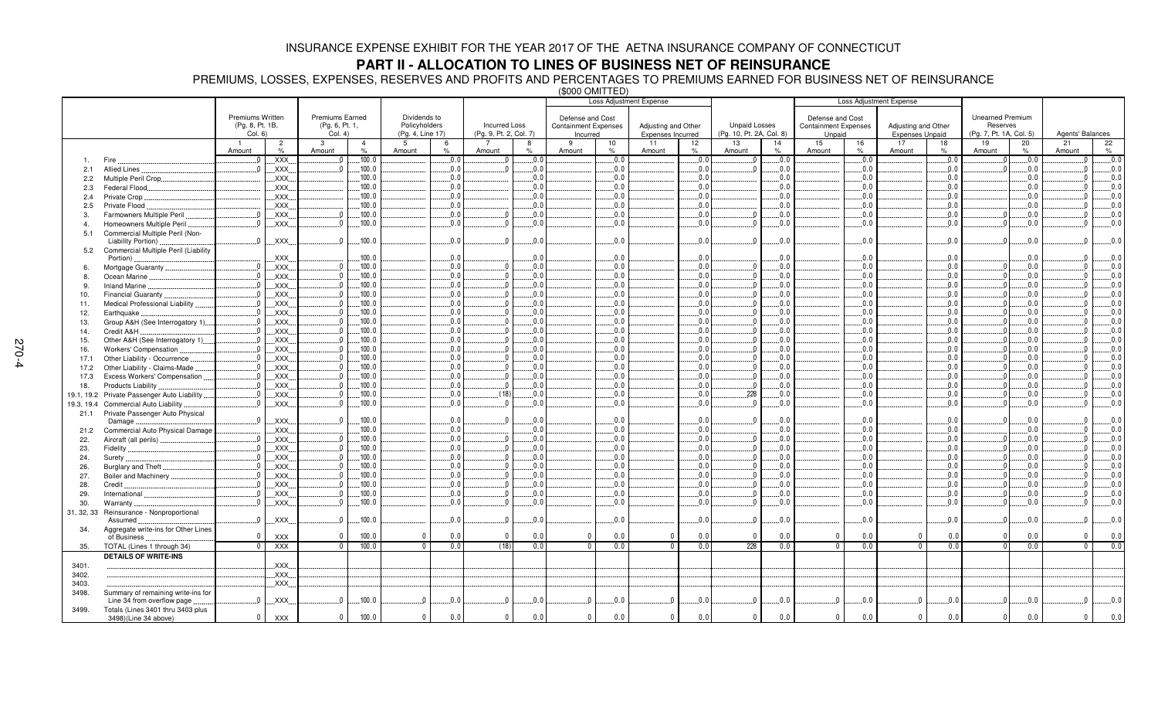# **PART II - ALLOCATION TO LINES OF BUSINESS NET OF REINSURANCE**

PREMIUMS, LOSSES, EXPENSES, RESERVES AND PROFITS AND PERCENTAGES TO PREMIUMS EARNED FOR BUSINESS NET OF REINSURANCE (\$000 OMITTED)

|            |                                                                  |                                     |                        |                                          |                        |                               | ושם הזוזויט טטטש<br>Loss Adjustment Expense |                        | <b>Loss Adjustment Expense</b> |                                                 |            |                     |            |                          |              |                                                 |            |                        |            |                                     |                     |                  |                  |
|------------|------------------------------------------------------------------|-------------------------------------|------------------------|------------------------------------------|------------------------|-------------------------------|---------------------------------------------|------------------------|--------------------------------|-------------------------------------------------|------------|---------------------|------------|--------------------------|--------------|-------------------------------------------------|------------|------------------------|------------|-------------------------------------|---------------------|------------------|------------------|
|            |                                                                  | Premiums Written<br>(Pg. 8, Pt. 1B, |                        | <b>Premiums Earned</b><br>(Pg. 6, Pt. 1, |                        | Dividends to<br>Policyholders |                                             | <b>Incurred Loss</b>   |                                | Defense and Cost<br><b>Containment Expenses</b> |            | Adjusting and Other |            | <b>Unpaid Losses</b>     |              | Defense and Cost<br><b>Containment Expenses</b> |            | Adjusting and Other    |            | <b>Unearned Premium</b><br>Reserves |                     |                  |                  |
|            |                                                                  | Col. 6)                             |                        | Col. 4)                                  |                        | (Pq. 4, Line 17)              |                                             | (Pg. 9, Pt. 2, Col. 7) |                                | Incurred                                        |            | Expenses Incurred   |            | (Pg. 10, Pt. 2A, Col. 8) |              | Unpaid                                          |            | <b>Expenses Unpaid</b> |            | (Pg. 7, Pt. 1A, Col. 5)             |                     | Agents' Balances |                  |
|            |                                                                  | Amount                              | $\overline{2}$<br>$\%$ | -3<br>Amount                             | $\overline{4}$<br>$\%$ | 5<br>Amount                   | 6<br>$\%$                                   | Amount                 | 8<br>$\frac{1}{2}$             | 9<br>Amount                                     | 10<br>%    | 11<br>Amount        | 12<br>%    | 13<br>Amount             | 14<br>%      | 15<br>Amount                                    | 16<br>%    | 17<br>Amount           | 18<br>%    | 19<br>Amount                        | 20<br>$\frac{1}{2}$ | 21<br>Amount     | 22<br>$\%$       |
|            |                                                                  |                                     | XXX.                   |                                          | 100.0                  |                               | 0.0                                         | $\sqrt{ }$             | 0.0                            |                                                 | 0.0        |                     | 0.0        | $\sqrt{ }$               | .0.0         |                                                 | 0.0        |                        | 0.0        |                                     | 0.0                 |                  | .0.0             |
| 2.1        | <b>Allied Lines</b>                                              |                                     | XXX.                   |                                          | 100.0                  |                               | 0.0                                         |                        | 0.0                            |                                                 | 0.0        |                     | 0.0        |                          | .0.0         |                                                 | 0.0        |                        | 0.0        |                                     | .0.0                |                  | .0.0             |
| 2.2        | Multiple Peril Crop.                                             |                                     | XXX                    |                                          | 100.0                  |                               | 0.0                                         |                        | 0.0                            |                                                 | 0.0        |                     | 0.0        |                          | 0.0          |                                                 | 0.0        |                        | 0.0        |                                     | 0.0                 |                  | 0.0              |
| 2.3        | Federal Flood                                                    |                                     | XXX.                   |                                          | 100.0                  |                               | .0.0                                        |                        | 0.0                            |                                                 | 0.0        |                     | 0.0        |                          | 0.0          |                                                 | 0.0        |                        | 0.0        |                                     | 0.0                 |                  | 0.0              |
| 2.4        | Private Crop.                                                    |                                     | XXX.                   |                                          | .100.0                 |                               | 0.0                                         |                        | 0.0                            |                                                 | 0.0        |                     | 0.0        |                          | 0.0          |                                                 | 0.0        |                        | 0.0        |                                     | .0.0                |                  | .0.0             |
| 2.5        | Private Flood                                                    |                                     | XXX.                   |                                          | .100.0                 |                               | .0.0                                        |                        | $0.0$ .                        |                                                 | 0.0        |                     | 0.0        |                          | .0.0         |                                                 | 0.0        |                        | 0.0        |                                     | .0.0                |                  | .0.0             |
| 3.         | Farmowners Multiple Peril                                        |                                     | XXX.                   |                                          | .100.0                 |                               | .0.0                                        |                        | $0.0$ .                        |                                                 | 0.0        |                     | 0.0        | $\Omega$                 | .0.0         |                                                 | 0.0        |                        | 0.0        |                                     | .0.0                |                  | .0.0             |
| 4          | Homeowners Multiple Peril                                        |                                     | XXX.                   |                                          | .100.0                 |                               | 0.0                                         |                        | 0.0                            |                                                 | 0.0        |                     | 0.0        | $\sqrt{ }$               | .0.0         |                                                 | 0.0        |                        | 0.0        |                                     | .0.0                |                  | .0.0             |
| 5.1        | Commercial Multiple Peril (Non-<br>Liability Portion)            | - 0                                 | XXX.                   | $\Omega$                                 | .100.0                 |                               | .0.0                                        |                        | 0.0                            |                                                 | 0.0        |                     | 0.0        | $\Omega$                 | .0.0         |                                                 | $0.0$ .    |                        | 0.0        |                                     | .0.0                |                  | .0.0             |
| 5.2        | Commercial Multiple Peril (Liability                             |                                     |                        |                                          |                        |                               |                                             |                        |                                |                                                 |            |                     |            |                          |              |                                                 |            |                        |            |                                     |                     |                  |                  |
|            | Portion)                                                         |                                     | XXX                    |                                          | 100.0                  |                               | .0.0                                        |                        | 0.0                            |                                                 | 0.0        |                     | 0.0        |                          | .0.0         |                                                 | 0.0        |                        | 0.0        |                                     | .0.0                |                  | 0.0              |
| 6.         | Mortgage Guaranty                                                |                                     | XXX                    |                                          | 100.0                  |                               | 0.0                                         |                        | 0.0                            |                                                 | 0.0        |                     | 0.0        | $\sqrt{ }$               | 0.0          |                                                 | 0.0        |                        | 0.0        |                                     | 0.0                 |                  | .0.0             |
| 8.         | Ocean Marine                                                     |                                     | XXX                    | $\Omega$<br>$\sqrt{ }$                   | .100.0                 |                               | .0.0                                        |                        | 0.0                            |                                                 | 0.0        |                     | 0.0        | $\Omega$                 | .0.0         |                                                 | 0.0        |                        | 0.0        |                                     | .0.0                |                  | 0.0              |
| 9          | Inland Marine                                                    |                                     | XXX.                   | $\sqrt{ }$                               | .100.0                 |                               | .0.0                                        |                        | $0.0$ .                        |                                                 | 0.0        |                     | 0.0        | $\Omega$<br>$\Omega$     | .0.0         |                                                 | $0.0$ .    |                        | 0.0        |                                     | .0.0                |                  | .0.0             |
| 10.        | Financial Guaranty.                                              |                                     | XXX.                   |                                          | .100.0<br>.100.0       |                               | .0.0                                        |                        | $0.0$ .<br>0.0                 |                                                 | 0.0<br>0.0 |                     | 0.0        | $\sqrt{ }$               | .0.0<br>.0.0 |                                                 | 0.0<br>0.0 |                        | 0.0<br>0.0 |                                     | .0.0                |                  | .0.0             |
| 11.        | Medical Professional Liability                                   |                                     | XXX.                   |                                          | 100.0                  |                               | .0.0<br>.0.0                                |                        | .0.0                           |                                                 | 0.0        |                     | 0.0<br>0.0 | $\Omega$                 | .0.0         |                                                 | 0.0        |                        | 0.0        |                                     | .0.0<br>.0.0        |                  | .0.0<br>.0.0     |
| 12.        | Earthquake                                                       |                                     | XXX.<br>XXX.           |                                          | 100.0                  |                               | 0.0                                         |                        | 0.0                            |                                                 | 0.0        |                     | 0.0        | $\overline{0}$           | .0.0         |                                                 | 0.0        |                        | 0.0        |                                     | .0.0                |                  | .0.0             |
| 13.        | Group A&H (See Interrogatory 1)                                  |                                     |                        |                                          | 100.0                  |                               | 0.0                                         |                        | 0.0                            |                                                 | 0.0        |                     | 0.0        | $\sqrt{ }$               | 0.0          |                                                 | 0.0        |                        | 0.0        |                                     | 0.0                 |                  | 0.0              |
| 14.        | Credit A&H                                                       |                                     | XXX                    |                                          | 100.0                  |                               | .0.0                                        |                        | 0.0                            |                                                 | 0.0        |                     | 0.0        | - 0                      | .0.0         |                                                 | 0.0        |                        | 0.0        |                                     | .0.0                |                  | .0.0             |
| 15.<br>16. | Other A&H (See Interrogatory 1)<br>Workers' Compensation         |                                     | XXX.<br>XXX            |                                          | 100.0                  |                               | 0.0                                         |                        | 0.0                            |                                                 | 0.0        |                     | 0.0        | $\Omega$                 | 0.0          |                                                 | 0.0        |                        | 0.0        |                                     | 0.0                 |                  | 0.0              |
| 17.1       | Other Liability - Occurrence                                     |                                     | XXX.                   | n                                        | .100.0                 |                               | .0.0                                        | $\Omega$               | $0.0$ .                        |                                                 | 0.0        |                     | 0.0        | $\Omega$                 | .0.0         |                                                 | 0.0        |                        | 0.0        |                                     | .0.0                |                  | .0.0             |
| 17.2       | Other Liability - Claims-Made                                    |                                     | XXX.                   |                                          | 100.0                  |                               | .0.0                                        |                        | 0.0                            |                                                 | 0.0        |                     | 0.0        | $\Omega$                 | .0.0         |                                                 | 0.0        |                        | 0.0        |                                     | .0.0                |                  | .0.0             |
| 17.3       | Excess Workers' Compensation                                     |                                     | XXX.                   |                                          | 100.0                  |                               | .0.0                                        |                        | 0.0                            |                                                 | 0.0        |                     | 0.0        | $\Omega$                 | .0.0         |                                                 | 0.0        |                        | 0.0        |                                     | .0.0                |                  | .0.0             |
| 18.        | Products Liability                                               |                                     | XXX.                   |                                          | 100.0                  |                               | .0.0                                        |                        | .0.0                           |                                                 | 0.0        |                     | 0.0        | $\overline{0}$           | .0.0         |                                                 | 0.0        |                        | 0.0        |                                     | .0.0                |                  | .0.0             |
| 19.1, 19.2 | Private Passenger Auto Liability                                 |                                     | XXX.                   |                                          | 100.0                  |                               | 0.0                                         | (18)                   | 0.0                            |                                                 | 0.0        |                     | 0.0        | .228                     | .0.0         |                                                 | 0.0        |                        | 0.0        |                                     | .0.0                |                  | .0.0             |
| 19.3, 19.4 | <b>Commercial Auto Liability</b>                                 | - 0                                 | XXX                    |                                          | 100.0                  |                               | 0.0                                         |                        | 0.0                            |                                                 | 0.0        |                     | 0.0        | $\overline{0}$           | .0.0         |                                                 | 0.0        |                        | 0.0        |                                     | .0.0                |                  | .0.0             |
| 21.1       | Private Passenger Auto Physical                                  |                                     |                        |                                          |                        |                               |                                             |                        |                                |                                                 |            |                     |            |                          |              |                                                 |            |                        |            |                                     |                     |                  |                  |
|            | Damage                                                           | $\Omega$                            | XXX.                   |                                          | 100.0                  |                               | .0.0                                        |                        | 0.0                            |                                                 | 0.0        |                     | 0.0        | $\Omega$                 | .0.0         |                                                 | 0.0        |                        | 0.0        |                                     | .0.0                |                  | 0.0              |
| 21.2       | Commercial Auto Physical Damage                                  |                                     | XXX.                   |                                          | 100.0                  |                               | 0.0                                         |                        | .0.0                           |                                                 | 0.0        |                     | 0.0        |                          | 0.0          |                                                 | 0.0        |                        | 0.0        |                                     | 0.0                 |                  | 0.0              |
| 22.        | Aircraft (all perils)                                            |                                     | XXX.                   |                                          | 100.0                  |                               | 0.0                                         |                        | 0.0                            |                                                 | 0.0        |                     | 0.0        | $\overline{0}$           | 0.0          |                                                 | 0.0        |                        | 0.0        |                                     | 0.0                 |                  | .0.0             |
| 23.        | Fidelity                                                         |                                     | XXX.                   |                                          | .100.0                 |                               | .0.0                                        |                        | 0.0                            |                                                 | 0.0        |                     | 0.0        | $\Omega$                 | .0.0         |                                                 | 0.0        |                        | .0.0       |                                     | .0.0                |                  | .0.0             |
| 24.        | Surety.                                                          |                                     | XXX                    |                                          | 100.0                  |                               | .0.0                                        |                        | 0.0                            |                                                 | 0.0        |                     | 0.0        | 0                        | .0.0         |                                                 | 0.0        |                        | 0.0        |                                     | .0.0                |                  | 0.0              |
| 26.        | Burglary and Theft                                               |                                     | XXX                    |                                          | 100.0                  |                               | 0.0                                         |                        | 0.0                            |                                                 | 0.0        |                     | 0.0        | $\sqrt{ }$               | 0.0          |                                                 | 0.0        |                        | 0.0        |                                     | 0.0                 |                  | .0.0             |
| 27.        | Boiler and Machinery                                             |                                     | XXX.                   | $\sqrt{ }$                               | .100.0                 |                               | .0.0                                        |                        | 0.0.                           |                                                 | 0.0        |                     | 0.0        | $\overline{0}$           | .0.0         |                                                 | 0.0        |                        | 0.0        |                                     | .0.0                |                  | .0.0             |
| 28.        | Credit                                                           |                                     | XXX.                   |                                          | 100.0                  |                               | .0.0                                        |                        | $0.0$ .                        |                                                 | $0.0$ .    |                     | 0.0        | $\Omega$                 | .0.0         |                                                 | $0.0$ .    |                        | 0.0        |                                     | 0.0                 |                  | .0.0             |
| 29.        | International                                                    |                                     | XXX.                   |                                          | 100.0                  |                               | 0.0                                         |                        | .0.0                           |                                                 | 0.0        |                     | 0.0        | $\sqrt{ }$               | .0.0         |                                                 | 0.0        |                        | 0.0        |                                     | .0.0                |                  | .0.0             |
| 30.        | Warranty                                                         |                                     | XXX.                   |                                          | .100.0                 |                               | 0.0                                         |                        | .0.0                           |                                                 | 0.0        |                     | 0.0        | $\Omega$                 | .0.0         |                                                 | 0.0        |                        | 0.0        |                                     | .0.0                |                  | 0.0              |
|            | 31, 32, 33 Reinsurance - Nonproportional<br>Assumed              | $\sqrt{ }$                          | XXX.                   |                                          | .100.0                 |                               | 0.0                                         |                        | 0.0                            |                                                 | 0.0.       |                     | 0.0        | $\Omega$                 | .0.0         |                                                 | 0.0        |                        | 0.0        |                                     | .0.0                |                  | .0.0             |
| 34.        | Aggregate write-ins for Other Lines<br>of Business               | $\Omega$                            | <b>XXX</b>             | $\Omega$                                 | 100.0                  | $\Omega$                      | 0.0                                         | $\overline{0}$         | 0.0                            | $\Omega$                                        | 0.0        | $\Omega$            | 0.0        | $\overline{0}$           | 0.0          | $\mathbf{0}$                                    | 0.0        | $\Omega$               | 0.0        |                                     | 0.0                 | $\Omega$         | 0.0              |
| 35.        | TOTAL (Lines 1 through 34)                                       | $\Omega$                            | <b>XXX</b>             | $\Omega$                                 | 100.0                  | $\Omega$                      | 0.0                                         | (18)                   | 0.0                            | $\overline{0}$                                  | 0.0        | $\overline{0}$      | 0.0        | 228                      | 0.0          | $\mathbf{0}$                                    | 0.0        | $\overline{0}$         | 0.0        | $\Omega$                            | 0.0                 | $\Omega$         | $\overline{0.0}$ |
|            | <b>DETAILS OF WRITE-INS</b>                                      |                                     |                        |                                          |                        |                               |                                             |                        |                                |                                                 |            |                     |            |                          |              |                                                 |            |                        |            |                                     |                     |                  |                  |
| 3401.      |                                                                  |                                     | XXX.                   |                                          |                        |                               |                                             |                        |                                |                                                 |            |                     |            |                          |              |                                                 |            |                        |            |                                     |                     |                  |                  |
| 3402.      |                                                                  |                                     | $\mathsf{XXX}$ .       |                                          |                        |                               |                                             |                        |                                |                                                 |            |                     |            |                          |              |                                                 |            |                        |            |                                     |                     |                  |                  |
| 3403.      |                                                                  |                                     | XXX.                   |                                          |                        |                               |                                             |                        |                                |                                                 |            |                     |            |                          |              |                                                 |            |                        |            |                                     |                     |                  |                  |
| 3498.      | Summary of remaining write-ins for<br>Line 34 from overflow page | $\Omega$                            | XXX                    |                                          | .100.0                 | $\Omega$                      | .0.0                                        |                        | 0.0                            |                                                 | 0.0        |                     | .0.0       | $\Omega$                 | .0.0         | $\Omega$                                        | 0.0        | $\Omega$               | .0.0       |                                     | .0.0                |                  | 0.0              |
| 3499.      | Totals (Lines 3401 thru 3403 plus<br>3498)(Line 34 above)        | $\Omega$                            | <b>XXX</b>             | $\mathbf{0}$                             | 100.0                  | $\mathbf 0$                   | 0.0                                         | $\mathbf{0}$           | 0.0                            | $\mathbf{0}$                                    | 0.0        | $\mathbf{0}$        | 0.0        | $\mathbf{0}$             | 0.0          | $\mathbf{0}$                                    | 0.0        | $\mathbf{0}$           | 0.0        |                                     | 0.0                 | $\mathbf{0}$     | 0.0              |
|            |                                                                  |                                     |                        |                                          |                        |                               |                                             |                        |                                |                                                 |            |                     |            |                          |              |                                                 |            |                        |            |                                     |                     |                  |                  |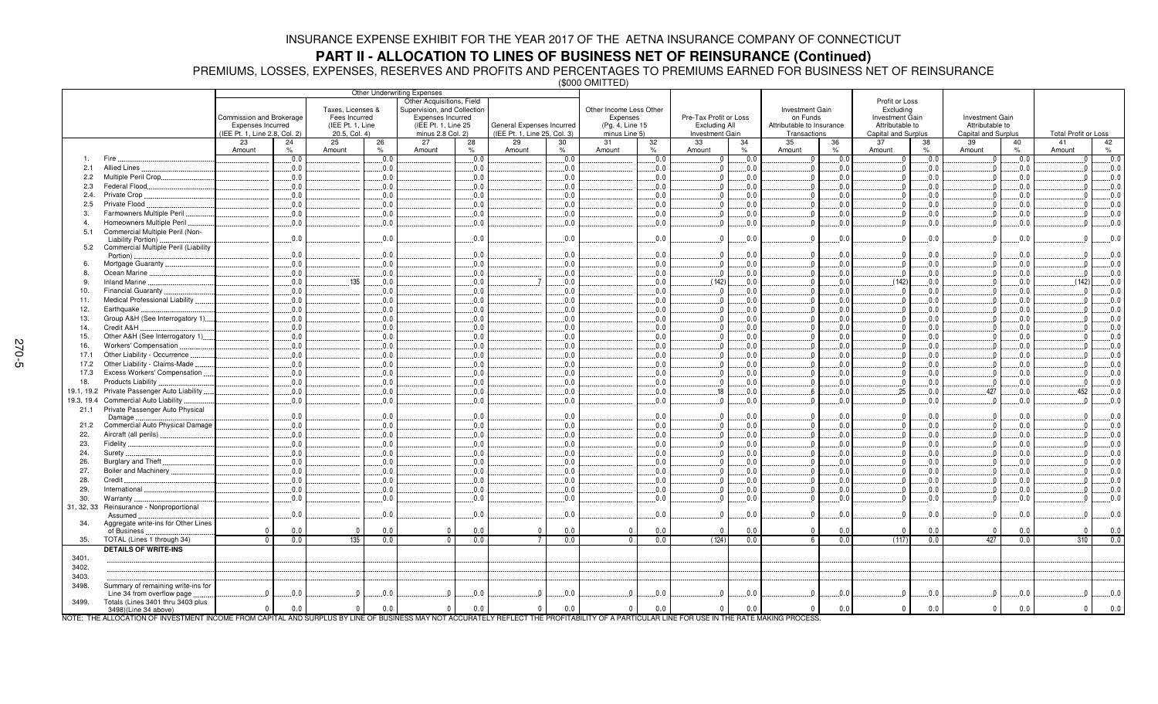**PART II - ALLOCATION TO LINES OF BUSINESS NET OF REINSURANCE (Continued)** PREMIUMS, LOSSES, EXPENSES, RESERVES AND PROFITS AND PERCENTAGES TO PREMIUMS EARNED FOR BUSINESS NET OF REINSURANCE

(\$000 OMITTED)

|              |                                                                                                                                                                                             |                               |           |                   |                     | Other Underwriting Expenses |                     |                              |                         |             |                        |           |                           |              |                        |            |                         |                     |                                   |
|--------------|---------------------------------------------------------------------------------------------------------------------------------------------------------------------------------------------|-------------------------------|-----------|-------------------|---------------------|-----------------------------|---------------------|------------------------------|-------------------------|-------------|------------------------|-----------|---------------------------|--------------|------------------------|------------|-------------------------|---------------------|-----------------------------------|
|              |                                                                                                                                                                                             |                               |           |                   |                     | Other Acquisitions, Field   |                     |                              |                         |             |                        |           |                           |              | Profit or Loss         |            |                         |                     |                                   |
|              |                                                                                                                                                                                             |                               |           | Taxes, Licenses & |                     | Supervision, and Collection |                     |                              | Other Income Less Other |             |                        |           | Investment Gain           |              | Excluding              |            |                         |                     |                                   |
|              |                                                                                                                                                                                             | Commission and Brokerage      |           | Fees Incurred     |                     | <b>Expenses Incurred</b>    |                     |                              | Expenses                |             | Pre-Tax Profit or Loss |           | on Funds                  |              | <b>Investment Gain</b> |            | <b>Investment Gain</b>  |                     |                                   |
|              |                                                                                                                                                                                             | <b>Expenses Incurred</b>      |           | (IEE Pt. 1, Line  |                     | (IEE Pt. 1, Line 25)        |                     | General Expenses Incurred    | (Pg. 4, Line 15         |             | <b>Excluding All</b>   |           | Attributable to Insurance |              | Attributable to        |            | Attributable to         |                     |                                   |
|              |                                                                                                                                                                                             | (IEE Pt. 1, Line 2.8, Col. 2) |           | 20.5, Col. 4)     |                     | minus 2.8 Col. 2)           |                     | (IEE Pt. 1, Line 25, Col. 3) | minus Line 5)           |             | Investment Gain        |           | Transactions              |              | Capital and Surplus    |            | Capital and Surplus     |                     | <b>Total Profit or Loss</b>       |
|              |                                                                                                                                                                                             | 23                            | 24        | 25                | 26<br>$\frac{9}{6}$ | 27                          | 28<br>$\frac{1}{2}$ | 29<br>30<br>$\%$             | 31                      | 32          | 33                     | 34        | 35                        | 36           | 37                     | 38<br>$\%$ | 39                      | 40<br>$\frac{1}{2}$ | 41<br>42                          |
| $\mathbf{1}$ | Fire                                                                                                                                                                                        | Amount                        | %<br>0.0. | Amount            | 0.0                 | Amount                      | .0.0                | Amount<br>0.0                | Amount                  | $\%$<br>0.0 | Amount                 | %<br>.0.0 | Amount                    | $\%$<br>.0.0 | Amount                 | 0.0.       | Amount<br>$\Omega$      | .0.0                | Amount<br>$\%$<br>0.0<br>$\Omega$ |
| 2.1          | <b>Allied Lines</b>                                                                                                                                                                         |                               | 0.0       |                   | 0.0                 |                             | 0.0                 | .0.0                         |                         | 0.0         |                        | .0.0      |                           | .0.0         |                        | 0.0        |                         | .0.0                | 0.0<br>$\Omega$                   |
| 2.2          | Multiple Peril Crop                                                                                                                                                                         |                               | 0.0       |                   | 0.0                 |                             | 0.0                 | 0.0                          |                         | 0.0         |                        | .0.0      |                           | 0.0          |                        | 0.0        |                         | .0.0                | 0.0<br>$\mathbf{0}$               |
| 2.3          | Federal Flood.                                                                                                                                                                              |                               | $0.0$ .   |                   | 0.0                 |                             | 0.0                 | 0.0                          |                         | 0.0         |                        | .0.0      |                           | 0.0          |                        | 0.0        | $\Omega$                | .0.0                | 0.0<br>$\Omega$                   |
| 2.4.         | Private Crop                                                                                                                                                                                |                               | 0.0       |                   | 0.0                 |                             | 0.0                 | 0.0                          |                         | 0.0         | $\sqrt{ }$             | 0.0       |                           | 0.0          |                        | 0.0        | $\sqrt{ }$              | 0.0                 | 0.0<br>$\Omega$                   |
| 2.5          | Private Flood                                                                                                                                                                               |                               | 0.0       |                   | 0.0                 |                             | 0.0                 | 0.0                          |                         | 0.0         |                        | .0.0      |                           | 0.0          |                        | 0.0        |                         | 0.0                 | 0.0<br>$\Omega$                   |
| 3.           | Farmowners Multiple Peril                                                                                                                                                                   |                               | 0.0       |                   | 0.0                 |                             | 0.0                 | .0.0                         |                         | 0.0         | $\Omega$               | .0.0      |                           | 0.0          |                        | 0.0        | - 0                     | .0.0                | 0.0<br>$\Omega$                   |
| $\mathbf{4}$ | Homeowners Multiple Peril                                                                                                                                                                   |                               | 0.0       |                   | 0.0                 |                             | 0.0                 | .0.0                         |                         | 0.0         |                        | .0.0      |                           | .0.0         |                        | 0.0        |                         | .0.0                | 0.0<br>$\Omega$                   |
| 5.1          | Commercial Multiple Peril (Non-                                                                                                                                                             |                               |           |                   |                     |                             |                     |                              |                         |             |                        |           |                           |              |                        |            |                         |                     |                                   |
|              | Liability Portion)                                                                                                                                                                          |                               | .0.0      |                   | 0.0                 |                             | .0.0                | .0.0                         |                         | 0.0         | $\Omega$               | .0.0      |                           | 0.0          |                        | 0.0        |                         | .0.0                | 0.0<br>$\Omega$                   |
| 5.2          | Commercial Multiple Peril (Liability                                                                                                                                                        |                               |           |                   |                     |                             |                     |                              |                         |             |                        |           |                           |              |                        |            |                         |                     |                                   |
|              | Portion).                                                                                                                                                                                   |                               | 0.0       |                   | 0.0                 |                             | .0.0                | 0.0                          |                         | 0.0         |                        | .0.0      |                           | .0.0         |                        | 0.0        |                         | .0.0                | .0.0<br>$\Omega$                  |
| 6.           | Mortgage Guaranty                                                                                                                                                                           |                               | 0.0       |                   | 0.0                 |                             | .0.0                | .0.0                         |                         | 0.0         |                        | .0.0      |                           | .0.0         |                        | 0.0        |                         | .0.0                | 0.0<br>$\Omega$                   |
| 8.           | Ocean Marine.                                                                                                                                                                               |                               | 0.0       |                   | 0.0                 |                             | 0.0                 | 0.0                          |                         | 0.0         | - 0                    | .0.0      |                           | 0.0          | - 0                    | 0.0        | - 0                     | 0.0                 | 0.0<br>$\Omega$                   |
| 9.           | Inland Marine                                                                                                                                                                               |                               | 0.0       | .135              | 0.0                 |                             | 0.0                 | 0.0                          |                         | 0.0         | (142)                  | .0.0      |                           | 0.0          | (142)                  | 0.0        |                         | 0.0                 | (142)<br>0.0                      |
| 10.          | Financial Guaranty.                                                                                                                                                                         |                               | 0.0       |                   | 0.0                 |                             | 0.0                 | 0.0                          |                         | 0.0         | - 0                    | .0.0      |                           | 0.0          |                        | 0.0        |                         | .0.0                | 0.0<br>$\Omega$                   |
| 11.          | Medical Professional Liability.                                                                                                                                                             |                               | 0.0       |                   | 0.0                 |                             | 0.0                 | .0.0                         |                         | 0.0         |                        | 0.0       |                           | 0.0          |                        | 0.0        |                         | 0.0                 | 0.0<br>$\Omega$                   |
| 12.          | Earthquake                                                                                                                                                                                  |                               | $0.0$ .   |                   | 0.0                 |                             | 0.0                 | .0.0                         |                         | 0.0         | $\Omega$               | .0.0      |                           | .0.0         | - 0                    | 0.0        | $\sqrt{ }$              | .0.0                | 0.0<br>$\mathbf{0}$               |
| 13.          | Group A&H (See Interrogatory 1)                                                                                                                                                             |                               | 0.0       |                   | 0.0                 |                             | 0.0                 | .0.0                         |                         | 0.0         |                        | .0.0      |                           | .0.0         |                        | 0.0        |                         | .0.0                | 0.0<br>$\Omega$                   |
| 14.          | Credit A&H                                                                                                                                                                                  |                               | 0.0       |                   | 0.0                 |                             | 0.0                 | .0.0                         |                         | 0.0         |                        | .0.0      |                           | .0.0         |                        | 0.0        |                         | .0.0                | 0.0<br>$\Omega$                   |
| 15.          | Other A&H (See Interrogatory 1)                                                                                                                                                             |                               | 0.0       |                   | 0.0                 |                             | 0.0                 | 0.0                          |                         | 0.0         |                        | .0.0      |                           | 0.0          |                        | 0.0        | $\sqrt{ }$              | .0.0                | 0.0<br>$\Omega$                   |
| 16.          | <b>Workers' Compensation</b>                                                                                                                                                                |                               | 0.0       |                   | 0.0                 |                             | 0.0                 | 0.0                          |                         | 0.0         | $\Omega$               | .0.0      |                           | 0.0          |                        | 0.0        |                         | 0.0                 | 0.0<br>$\Omega$                   |
| 17.1         | Other Liability - Occurrence                                                                                                                                                                |                               | 0.0       |                   | 0.0                 |                             | 0.0                 | 0.0                          |                         | 0.0         |                        | .0.0      |                           | .0.0         |                        | 0.0        | $\Omega$                | .0.0                | 0.0<br>$\mathbf{0}$               |
| 17.2         | Other Liability - Claims-Made                                                                                                                                                               |                               | 0.0       |                   | 0.0                 |                             | .0.0                | .0.0                         |                         | 0.0         |                        | .0.0      |                           | .0.0         |                        | 0.0        |                         | .0.0                | 0.0<br>$\Omega$                   |
| 17.3         | Excess Workers' Compensation.                                                                                                                                                               |                               | 0.0       |                   | 0.0                 |                             | 0.0                 | 0.0                          |                         | 0.0         | $\Omega$               | .0.0      |                           | 0.0          |                        | 0.0        | - 0                     | .0.0                | 0.0<br>$\Omega$                   |
| 18.          | Products Liability                                                                                                                                                                          |                               | 0.0       |                   | 0.0                 |                             | 0.0                 | .0.0                         |                         | 0.0         |                        | .0.0      |                           | .0.0         |                        | 0.0.       |                         | .0.0                | 0.0<br>$\Omega$                   |
| 19.1, 19.2   | Private Passenger Auto Liability.                                                                                                                                                           |                               | $0.0$ .   |                   | 0.0                 |                             | .0.0                | .0.0                         |                         | 0.0         | .18                    | .0.0      |                           | .0.0         | .25                    | 0.0        | 427                     | .0.0                | .452<br>0.0                       |
| 19.3, 19.4   | Commercial Auto Liability                                                                                                                                                                   |                               | 0.0       |                   | 0.0                 |                             | 0.0                 | 0.0                          |                         | 0.0         |                        | .0.0      |                           | 0.0          | - 0                    | 0.0        | $\sqrt{ }$              | 0.0                 | 0.0<br>$\Omega$                   |
| 21.1         | Private Passenger Auto Physical                                                                                                                                                             |                               | 0.0       |                   | $0.0$ .             |                             | 0.0                 | .0.0                         |                         | 0.0         |                        | .0.0      |                           | .0.0         |                        | 0.0        |                         | .0.0                | $\Omega$<br>.0.0                  |
| 21.2         | Damage<br>Commercial Auto Physical Damage                                                                                                                                                   |                               | 0.0       |                   | 0.0                 |                             | 0.0                 | 0.0                          |                         | 0.0         |                        | .0.0      |                           | 0.0          |                        | 0.0        |                         | 0.0                 | 0.0<br>$\Omega$                   |
| 22.          | Aircraft (all perils)                                                                                                                                                                       |                               | 0.0       |                   | 0.0                 |                             | 0.0                 | 0.0                          |                         | 0.0         | $\sqrt{ }$             | .0.0      |                           | 0.0          |                        | 0.0        | $\sqrt{ }$              | 0.0                 | 0.0<br>$\Omega$                   |
| 23.          | Fidelity                                                                                                                                                                                    |                               | 0.0       |                   | 0.0                 |                             | 0.0                 | 0.0                          |                         | 0.0         |                        | .0.0      |                           | 0.0          |                        | 0.0        | $\overline{0}$          | 0.0                 | 0.0<br>$\Omega$                   |
| 24.          | Surety.                                                                                                                                                                                     |                               | 0.0       |                   | 0.0                 |                             | 0.0                 | 0.0                          |                         | 0.0         |                        | .0.0      |                           | 0.0          |                        | 0.0        |                         | .0.0                | 0.0<br>$\Omega$                   |
| 26.          | Burglary and Theft                                                                                                                                                                          |                               | 0.0       |                   | 0.0                 |                             | .0.0                | 0.0                          |                         | 0.0         |                        | .0.0      |                           | 0.0          |                        | 0.0        | $\Omega$                | .0.0                | 0.0<br>$\Omega$                   |
| 27.          | Boiler and Machinery                                                                                                                                                                        |                               | 0.0       |                   | 0.0                 |                             | .0.0                | .0.0                         |                         | 0.0         |                        | .0.0      |                           | .0.0         |                        | 0.0        |                         | .0.0                | 0.0<br>$\Omega$                   |
| 28.          | Credit                                                                                                                                                                                      |                               | $0.0$ .   |                   | 0.0                 |                             | 0.0                 | .0.0                         |                         | 0.0         |                        | .0.0      |                           | .0.0         |                        | 0.0        |                         | .0.0                | 0.0<br>$\Omega$                   |
| 29.          | International                                                                                                                                                                               |                               | 0.0       |                   | 0.0                 |                             | 0.0                 | .0.0                         |                         | 0.0         |                        | .0.0      |                           | .0.0         |                        | 0.0        |                         | .0.0                | 0.0<br>$\Omega$                   |
| 30.          | Warranty                                                                                                                                                                                    |                               | 0.0       |                   | 0.0                 |                             | 0.0                 | 0.0                          |                         | 0.0         | - 0                    | .0.0      |                           | 0.0          |                        | 0.0        | $\Omega$                | .0.0                | 0.0<br>$\mathbf{0}$               |
|              | 31, 32, 33 Reinsurance - Nonproportional                                                                                                                                                    |                               |           |                   |                     |                             |                     |                              |                         |             |                        |           |                           |              |                        |            |                         |                     |                                   |
|              | Assumed                                                                                                                                                                                     |                               | 0.0       |                   | 0.0                 |                             | 0.0                 | 0.0                          |                         | 0.0         | $\sqrt{ }$             | .0.0      |                           | 0.0          |                        | 0.0        | $\sqrt{ }$              | 0.0                 | 0.0<br>$\Omega$                   |
| 34.          | Aggregate write-ins for Other Lines                                                                                                                                                         |                               |           |                   |                     |                             |                     |                              |                         |             |                        |           |                           |              |                        |            |                         |                     |                                   |
|              | of Business                                                                                                                                                                                 |                               | 0.0       | - 0               | 0.0                 | $\mathbf 0$                 | 0.0                 | 0.0<br>$\mathbf{0}$          | $\mathbf{0}$            | 0.0         | $\mathbf{0}$           | 0.0       | $\Omega$                  | 0.0          | 0                      | 0.0        | $\overline{\mathbf{0}}$ | 0.0                 | 0.0<br>$\mathbf 0$                |
| 35.          | TOTAL (Lines 1 through 34)                                                                                                                                                                  |                               | 0.0       | 135               | 0.0                 | $\Omega$                    | 0.0                 | 0.0<br>$\overline{7}$        | $\mathbf{0}$            | 0.0         | (124)                  | 0.0       | <b>6</b>                  | 0.0          | (117)                  | 0.0        | 427                     | 0.0                 | 310<br>0.0                        |
|              | <b>DETAILS OF WRITE-INS</b>                                                                                                                                                                 |                               |           |                   |                     |                             |                     |                              |                         |             |                        |           |                           |              |                        |            |                         |                     |                                   |
| 3401.        |                                                                                                                                                                                             |                               |           |                   |                     |                             |                     |                              |                         |             |                        |           |                           |              |                        |            |                         |                     |                                   |
| 3402.        |                                                                                                                                                                                             |                               |           |                   |                     |                             |                     |                              |                         |             |                        |           |                           |              |                        |            |                         |                     |                                   |
| 3403.        |                                                                                                                                                                                             |                               |           |                   |                     |                             |                     |                              |                         |             |                        |           |                           |              |                        |            |                         |                     |                                   |
| 3498.        | Summary of remaining write-ins for<br>Line 34 from overflow page                                                                                                                            |                               | $0.0$ .   | $\sqrt{ }$        | .0.0                | $\Omega$                    | .0.0                | .0.0<br>$\Omega$             | $\Omega$                | 0.0         |                        | .0.0      |                           | .0.0         | 0                      | 0.0        |                         | .0.0                | .0.0<br>$\Omega$ .                |
| 3499.        | Totals (Lines 3401 thru 3403 plus                                                                                                                                                           |                               |           |                   |                     |                             |                     |                              |                         |             |                        |           |                           |              |                        |            |                         |                     |                                   |
|              | 3498)(Line 34 above)                                                                                                                                                                        |                               | 0.0       | $\Omega$          | 0.0                 | $\Omega$                    | 0.0                 | $\mathbf{0}$<br>0.0          | $\mathbf{0}$            | 0.0         |                        | 0.0       |                           | 0.0          | $\Omega$               | 0.0        | $\mathbf 0$             | 0.0                 | 0.0<br>$\mathbf 0$                |
|              | JOTE: THE ALLOCATION OF INVESTMENT INCOME FROM CAPITAL AND SURPLUS BY LINE OF BUSINESS MAY NOT ACCURATELY REFLECT THE PROFITABILITY OF A PARTICULAR LINE FOR USE IN THE RATE MAKING PROCESS |                               |           |                   |                     |                             |                     |                              |                         |             |                        |           |                           |              |                        |            |                         |                     |                                   |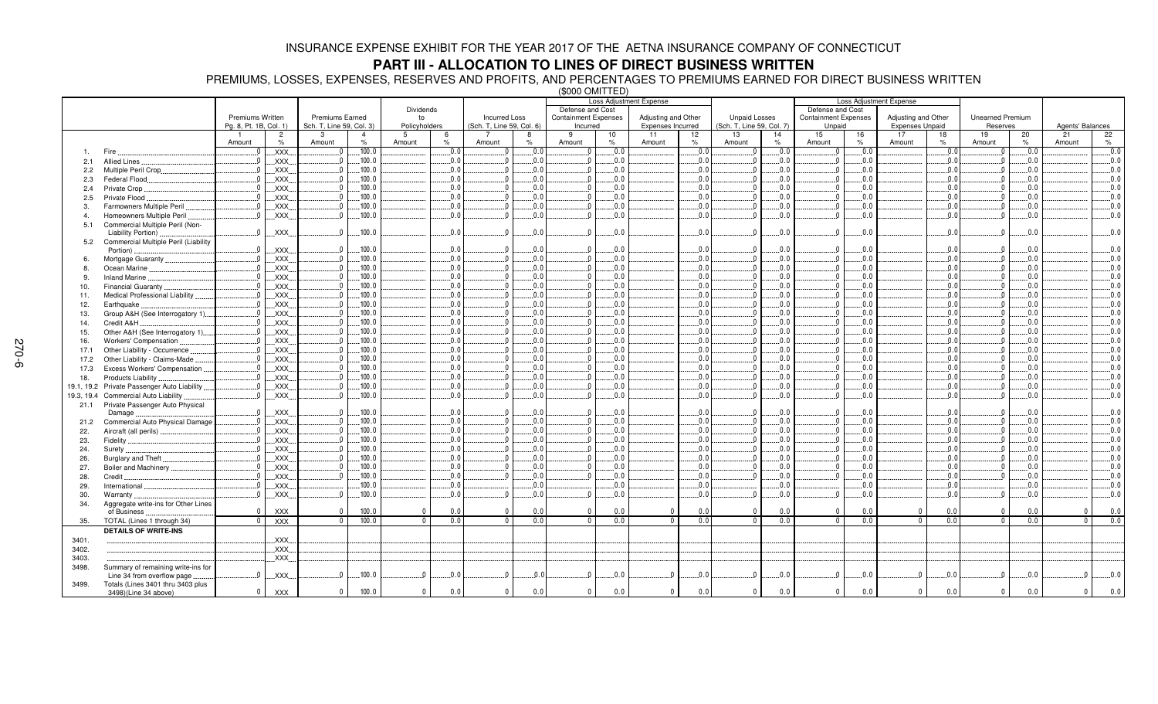## **PART III - ALLOCATION TO LINES OF DIRECT BUSINESS WRITTEN**

PREMIUMS, LOSSES, EXPENSES, RESERVES AND PROFITS, AND PERCENTAGES TO PREMIUMS EARNED FOR DIRECT BUSINESS WRITTEN (\$000 OMITTED)

|                |                                                        |                        |                |                          |                |                | Loss Adjustment Expense |                           |               |                             |      | <b>Loss Adjustment Expense</b> |                 |                                 |                             |         |                        |      |                         |      |                  |      |
|----------------|--------------------------------------------------------|------------------------|----------------|--------------------------|----------------|----------------|-------------------------|---------------------------|---------------|-----------------------------|------|--------------------------------|-----------------|---------------------------------|-----------------------------|---------|------------------------|------|-------------------------|------|------------------|------|
|                |                                                        |                        |                |                          |                | Dividends      |                         | Defense and Cost          |               |                             |      | Defense and Cost               |                 |                                 |                             |         |                        |      |                         |      |                  |      |
|                |                                                        | Premiums Written       |                | Premiums Earned          |                | to             |                         | <b>Incurred Loss</b>      |               | <b>Containment Expenses</b> |      | Adjusting and Other            |                 | <b>Unpaid Losses</b>            | <b>Containment Expenses</b> |         | Adjusting and Other    |      | <b>Unearned Premium</b> |      |                  |      |
|                |                                                        | Pg. 8, Pt. 1B, Col. 1) |                | Sch. T, Line 59, Col. 3) |                | Policyholders  |                         | (Sch. T, Line 59, Col. 6) |               | Incurred                    |      | Expenses Incurred              |                 | (Sch. T, Line 59, Col. 7)       | Unpaid                      |         | <b>Expenses Unpaid</b> |      | Reserves                |      | Agents' Balances |      |
|                |                                                        |                        | $\overline{2}$ | 3                        | $\overline{4}$ | 5              | -6                      |                           | 8             | -9                          | 10   | 11                             | 12 <sup>2</sup> | 13<br>14                        | 15                          | 16      | 17                     | 18   | 19                      | 20   | 21               | 22   |
|                |                                                        | Amount                 | %              | Amount                   | $\%$           | Amount         | $\frac{1}{2}$           | Amount                    | $\frac{9}{6}$ | Amount                      | $\%$ | Amount<br>$\%$                 |                 | $\%$<br>Amount                  | Amount                      | $\%$    | Amount                 | $\%$ | Amount                  | $\%$ | Amount           | $\%$ |
|                | Fire                                                   |                        | .XXX.          | $\Omega$                 | .100.0         |                | 0.0                     |                           | 0.0           | $\sqrt{ }$                  | .0.0 |                                | 0.0             | 0.0<br>$\Omega$                 |                             | 0.0     |                        | 0.0  |                         | 0.0  |                  | 0.0  |
| 2.1            | <b>Allied Lines</b>                                    |                        | XXX.           | $\Omega$                 | .100.0         |                | 0.0                     | $\Omega$                  | 0.0           |                             | .0.0 |                                | 0.0             | $0$<br>.0.0                     | - 0                         | 0.0     |                        | .0.0 |                         | 0.0  |                  | 0.0  |
| 2.2            | Multiple Peril Crop.                                   |                        | XXX.           |                          | .100.0         |                | 0.0                     | $\Omega$                  | 0.0           |                             | .0.0 |                                | 0.0             | .0.0<br>$\Omega$                | n                           | 0.0     |                        | .0.0 |                         | 0.0  |                  | 0.0  |
| 2.3            | <b>Federal Flood</b>                                   |                        | XXX.           |                          | .100.0         |                | 0.0                     |                           | 0.0           |                             | 0.0  |                                | 0.0             | 0.0<br>$\Omega$                 |                             | 0.0     |                        | 0.0  |                         | 0.0  |                  | 0.0  |
| 2.4            | Private Crop                                           |                        | XXX.           |                          | .100.0         |                | 0.0                     |                           | 0.0           |                             | 0.0  |                                | 0.0             | $\overline{\mathbf{0}}$<br>.0.0 | - 0                         | 0.0     |                        | 0.0  |                         | 0.0  |                  | 0.0  |
| 2.5            | Private Flood                                          |                        | XXX.           |                          | 100.0          |                | 0.0                     |                           | 0.0           |                             | 0.0  |                                | 0.0             | $\Omega$<br>.0.0                | - 0                         | 0.0     |                        | 0.0  |                         | 0.0  |                  | 0.0  |
|                |                                                        |                        | <b>XXX</b>     |                          | .100.0         |                | 0.0.                    |                           | .0.0          |                             | .0.0 |                                | .0.0            | .0.0<br>$\Omega$                |                             | 0.0     |                        | .0.0 |                         | 0.0  |                  | 0.0  |
| 3.             | Farmowners Multiple Peril<br>Homeowners Multiple Peril |                        | XXX.           |                          | .100.0         |                | .0.0                    |                           | 0.0           |                             | .0.0 |                                | .0.0            | $\overline{0}$<br>.0.0          | - 0                         | 0.0     |                        | 0.0  |                         | 0.0. |                  | 0.0  |
| $\overline{a}$ |                                                        |                        |                |                          |                |                |                         |                           |               |                             |      |                                |                 |                                 |                             |         |                        |      |                         |      |                  |      |
| 5.1            | Commercial Multiple Peril (Non-<br>Liability Portion)  | $\Omega$               | <b>XXX</b>     |                          | .100.0         |                | 0.0                     | $\Omega$                  | 0.0           |                             | 0.0  |                                | 0.0             | $\Omega$<br>0.0                 | $\sqrt{ }$                  | 0.0     |                        | 0.0  |                         | 0.0  |                  | 0.0  |
| 5.2            | Commercial Multiple Peril (Liability                   |                        |                |                          |                |                |                         |                           |               |                             |      |                                |                 |                                 |                             |         |                        |      |                         |      |                  |      |
|                | Portion)                                               |                        | <b>XXX</b>     |                          | .100.0         |                | 0.0                     |                           | 0.0           |                             | .0.0 |                                | 0.0             | .0.0<br>$\overline{0}$          |                             | 0.0     |                        | 0.0  |                         | 0.0  |                  | 0.0  |
| 6.             | Mortgage Guaranty                                      |                        | XXX.           |                          | .100.0         |                | 0.0                     | $\Omega$                  | 0.0           |                             | 0.0  |                                | 0.0             | $\overline{\mathbf{0}}$<br>.0.0 | $\sqrt{ }$                  | 0.0     |                        | 0.0  |                         | 0.0  |                  | 0.0  |
| 8.             | Ocean Marine                                           |                        | XXX.           |                          | .100.0         |                | 0.0                     |                           | 0.0           |                             | 0.0  |                                | 0.0             | 0.0<br>$\mathbf{0}$             | n                           | $0.0$ . |                        | .0.0 |                         | 0.0  |                  | 0.0  |
| 9.             | <b>Inland Marine</b>                                   |                        | XXX.           |                          | .100.0         |                | 0.0                     |                           | 0.0           |                             | 0.0  |                                | 0.0             | .0.0<br>$\overline{\mathbf{0}}$ | $\sqrt{ }$                  | 0.0     |                        | 0.0  |                         | 0.0  |                  | 0.0  |
| 10.            | <b>Financial Guaranty</b>                              |                        | <b>XXX</b>     |                          | .100.0         |                | 0.0                     |                           | 0.0           |                             | 0.0  |                                | 0.0             | $\overline{0}$<br>.0.0          | $\sqrt{ }$                  | 0.0     |                        | 0.0  |                         | 0.0  |                  | 0.0  |
| 11.            | Medical Professional Liability                         |                        | XXX.           |                          | .100.0         |                | .0.0                    | $\Omega$                  | 0.0           |                             | .0.0 |                                | 0.0.            | $\Omega_{\cdot\cdot}$<br>.0.0   | - 0                         | 0.0     |                        | 0.0  |                         | 0.0  |                  | 0.0  |
| 12.            | Earthquake                                             |                        | XXX.           |                          | .100.0         |                | .0.0                    |                           | 0.0           |                             | .0.0 |                                | .0.0            | $\Omega_{\ldots}$<br>.0.0       |                             | 0.0     |                        | .0.0 |                         | 0.0  |                  | 0.0  |
| 13.            | Group A&H (See Interrogatory 1)                        |                        | XXX.           |                          | .100.0         |                | 0.0                     |                           | 0.0           |                             | .0.0 |                                | .0.0            | $\Omega$<br>.0.0                |                             | 0.0     |                        | .0.0 |                         | 0.0  |                  | 0.0  |
| 14.            | Credit A&H                                             |                        | XXX.           |                          | .100.0         |                | .0.0                    | $\Omega$                  | 0.0           |                             | .0.0 |                                | 0.0             | $0\ldots$<br>.0.0               | - 0                         | 0.0     |                        | .0.0 |                         | 0.0  |                  | 0.0  |
| 15.            | Other A&H (See Interrogatory 1).                       |                        | XXX.           |                          | .100.0         |                | 0.0                     |                           | 0.0           |                             | .0.0 |                                | 0.0             | $\overline{0}$<br>.0.0          | n                           | 0.0     |                        | 0.0  |                         | 0.0  |                  | 0.0  |
| 16.            | Workers' Compensation                                  |                        | XXX.           |                          | .100.0         |                | 0.0                     |                           | 0.0           |                             | .0.0 |                                | 0.0             | $\Omega$<br>.0.0                |                             | 0.0     |                        | 0.0  |                         | 0.0  |                  | 0.0  |
| 17.1           | Other Liability - Occurrence                           |                        | XXX.           |                          | .100.0         |                | 0.0                     |                           | 0.0           |                             | 0.0  |                                | 0.0             | $\overline{\mathbf{0}}$<br>.0.0 | n                           | 0.0     |                        | 0.0  |                         | 0.0  |                  | 0.0  |
| 17.2           | Other Liability - Claims-Made                          |                        | XXX.           |                          | .100.0         |                | .0.0                    |                           | 0.0           |                             | .0.0 |                                | .0.0            | $\Omega$<br>.0.0                | - 0                         | 0.0     |                        | 0.0  |                         | 0.0  |                  | 0.0  |
| 17.3           | Excess Workers' Compensation                           |                        | XXX.           |                          | .100.0         |                | 0.0                     |                           | 0.0           |                             | 0.0  |                                | 0.0             | $\Omega$<br>0.0                 |                             | 0.0.    |                        | .0.0 |                         | .0.0 |                  | 0.0  |
| 18.            | Products Liability                                     |                        | XXX.           |                          | .100.0         |                | .0.0                    |                           | 0.0           |                             | .0.0 |                                | 0.0             | $\Omega_{\cdot\cdot}$<br>.0.0   | - 0                         | 0.0     |                        | 0.0  |                         | 0.0  |                  | 0.0  |
| 19.1, 19.2     | Private Passenger Auto Liability                       |                        | <b>XXX</b>     |                          | .100.0         |                | .0.0                    | $\Omega$                  | 0.0           |                             | .0.0 |                                | 0.0             | $\overline{0}$<br>.0.0          | - 0                         | 0.0     |                        | .0.0 |                         | 0.0  |                  | 0.0  |
| 19.3, 19.4     | Commercial Auto Liability                              |                        | XXX.           |                          | .100.0         |                | 0.0                     |                           | 0.0           |                             | .0.0 |                                | .0.0            | $\Omega$<br>.0.0                |                             | 0.0     |                        | .0.0 |                         | 0.0  |                  | 0.0  |
| 21.1           | Private Passenger Auto Physical                        |                        |                |                          |                |                |                         |                           |               |                             |      |                                |                 |                                 |                             |         |                        |      |                         |      |                  |      |
|                | Damage                                                 |                        | XXX.           |                          | .100.0         |                | 0.0                     | $\Omega$                  | .0.0          |                             | .0.0 |                                | 0.0             | .0.0<br>$\mathbf{0}$            |                             | 0.0     |                        | 0.0  |                         | 0.0  |                  | 0.0  |
| 21.2           | Commercial Auto Physical Damage                        |                        | <b>XXX</b>     |                          | .100.0         |                | 0.0                     |                           | 0.0           |                             | .0.0 |                                | .0.0            | $\Omega$<br>.0.0                |                             | 0.0.    |                        | 0.0  |                         | .0.0 |                  | 0.0  |
| 22.            | Aircraft (all perils).                                 |                        | XXX.           |                          | .100.0         |                | .0.0                    |                           | 0.0           |                             | .0.0 |                                | 0.0             | $\Omega_{\cdots}$<br>.0.0       | $\sqrt{ }$                  | 0.0     |                        | .0.0 |                         | 0.0  |                  | 0.0  |
| 23.            | Fidelity                                               |                        | XXX.           |                          | .100.0         |                | .0.0                    |                           | 0.0           |                             | .0.0 |                                | .0.0            | $\mathbf{0}$ .<br>.0.0          | $\Omega$                    | 0.0     |                        | .0.0 |                         | 0.0  |                  | 0.0  |
| 24.            | Surety                                                 |                        | XXX.           |                          | .100.0         |                | 0.0                     |                           | 0.0           |                             | .0.0 |                                | 0.0             | 0.0<br>$\Omega$                 |                             | 0.0     |                        | 0.0  |                         | 0.0  |                  | 0.0  |
| 26.            | Burglary and Theft                                     |                        | XXX.           |                          | .100.0         |                | .0.0                    |                           | 0.0           |                             | .0.0 |                                | .0.0            | $\overline{\mathbf{0}}$<br>.0.0 | $\sqrt{ }$                  | 0.0     |                        | .0.0 |                         | 0.0  |                  | 0.0  |
| 27.            | Boiler and Machinery                                   |                        | XXX.           |                          | .100.0         |                | 0.0                     |                           | 0.0           |                             | 0.0  |                                | 0.0             | $\Omega$<br>.0.0                | - 0                         | 0.0     |                        | 0.0  |                         | 0.0  |                  | 0.0  |
| 28.            | Credit                                                 |                        | XXX.           |                          | .100.0         |                | 0.0.                    |                           | 0.0           |                             | .0.0 |                                | .0.0            | $\Omega$<br>.0.0                | $\sqrt{ }$                  | 0.0     |                        | .0.0 |                         | 0.0  |                  | 0.0  |
| 29.            | International                                          |                        | XXX.           |                          | .100.0         |                | .0.0                    |                           | 0.0           |                             | .0.0 |                                | .0.0            | .0.0                            |                             | 0.0     |                        | .0.0 |                         | 0.0  |                  | 0.0  |
| 30.            | Warranty                                               |                        | <b>XXX</b>     |                          | .100.0         |                | 0.0                     |                           | 0.0           |                             | 0.0  |                                | 0.0             | $\Omega$<br>.0.0                |                             | 0.0     |                        | 0.0  |                         | 0.0  |                  | 0.0  |
| 34.            | Aggregate write-ins for Other Lines                    |                        |                |                          |                |                |                         |                           |               |                             |      |                                |                 |                                 |                             |         |                        |      |                         |      |                  |      |
|                | of Business                                            | $\Omega$               | <b>XXX</b>     | $\mathbf 0$              | 100.0          | $\overline{0}$ | 0.0                     | $\mathbf{0}$              | 0.0           | $\mathbf{0}$                | 0.0  | $\mathbf{0}$                   | 0.0             | 0.0<br>$\mathbf{0}$             | $\mathbf{0}$                | 0.0     | $\mathbf 0$            | 0.0  | $\mathbf{0}$            | 0.0  | $\mathbf 0$      | 0.0  |
| 35.            | TOTAL (Lines 1 through 34)                             | $\Omega$               | <b>XXX</b>     | $\mathbf{0}$             | 100.0          | $\Omega$       | 0.0                     | $\overline{0}$            | 0.0           | $\overline{0}$              | 0.0  | $\Omega$                       | 0.0             | 0.0<br>$\Omega$                 | $\mathbf{0}$                | 0.0     | $\Omega$               | 0.0  | $\Omega$                | 0.0  | $\overline{0}$   | 0.0  |
|                | <b>DETAILS OF WRITE-INS</b>                            |                        |                |                          |                |                |                         |                           |               |                             |      |                                |                 |                                 |                             |         |                        |      |                         |      |                  |      |
| 3401.          |                                                        |                        | XXX.           |                          |                |                |                         |                           |               |                             |      |                                |                 |                                 |                             |         |                        |      |                         |      |                  |      |
| 3402.          |                                                        |                        | XXX.           |                          |                |                |                         |                           |               |                             |      |                                |                 |                                 |                             |         |                        |      |                         |      |                  |      |
| 3403.          |                                                        |                        | XXX.           |                          |                |                |                         |                           |               |                             |      |                                |                 |                                 |                             |         |                        |      |                         |      |                  |      |
| 3498.          | Summary of remaining write-ins for                     |                        |                |                          |                |                |                         |                           |               |                             |      |                                |                 |                                 |                             |         |                        |      |                         |      |                  |      |
|                | Line 34 from overflow page                             | $\Omega$               | XXX.           |                          | .100.0         |                | 0.0                     | $\Omega$                  | 0.0           |                             | .0.0 | ſ                              | .0.0            | .0.0<br>$\mathbf{0}$            |                             | .0.0    | $\Omega$               | .0.0 |                         | .0.0 | $\Omega$         | 0.0  |
| 3499.          | Totals (Lines 3401 thru 3403 plus                      |                        |                |                          |                |                |                         |                           |               |                             |      |                                |                 |                                 |                             |         |                        |      |                         |      |                  |      |
|                | 3498)(Line 34 above)                                   | $^{\circ}$             | <b>XXX</b>     | $\mathbf{0}$             | 100.0          | $\mathbf{0}$   | 0.0                     | $\mathbf 0$               | 0.0           | $\mathbf{0}$                | 0.0  | $\mathbf{0}$                   | 0.0             | $\mathbf{0}$<br>0.0             | $\mathbf{0}$                | 0.0     | $\mathbf 0$            | 0.0  | $\mathbf{0}$            | 0.0  | $\mathbf 0$      | 0.0  |
|                |                                                        |                        |                |                          |                |                |                         |                           |               |                             |      |                                |                 |                                 |                             |         |                        |      |                         |      |                  |      |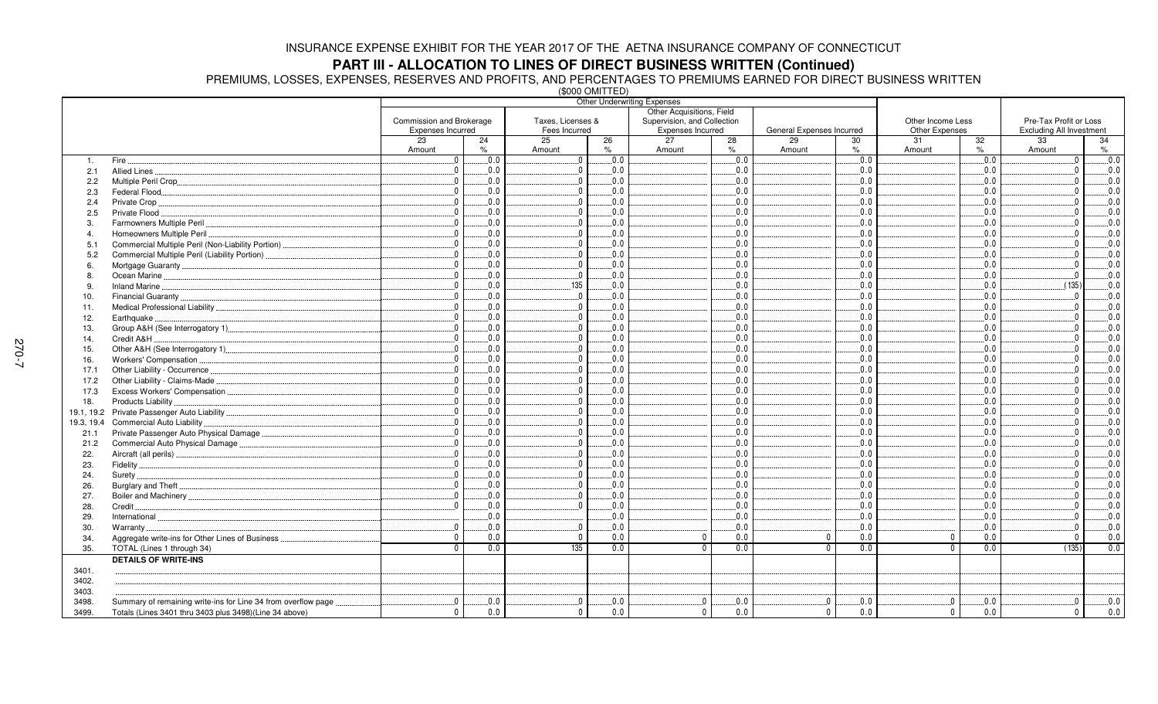# **PART III - ALLOCATION TO LINES OF DIRECT BUSINESS WRITTEN (Continued)**

PREMIUMS, LOSSES, EXPENSES, RESERVES AND PROFITS, AND PERCENTAGES TO PREMIUMS EARNED FOR DIRECT BUSINESS WRITTEN (\$000 OMITTED)

|                |                                                               |                          |            | שבו וועוט טטטען     | <b>Other Underwriting Expenses</b> |                                       |                      |         |                                       |                  |
|----------------|---------------------------------------------------------------|--------------------------|------------|---------------------|------------------------------------|---------------------------------------|----------------------|---------|---------------------------------------|------------------|
|                |                                                               |                          |            |                     | Other Acquisitions, Field          |                                       |                      |         |                                       |                  |
|                |                                                               | Commission and Brokerage |            | Taxes, Licenses &   | Supervision, and Collection        |                                       | Other Income Less    |         | Pre-Tax Profit or Loss                |                  |
|                |                                                               | Expenses Incurred<br>23  |            | Fees Incurred<br>25 | Expenses Incurred<br>27            | General Expenses Incurred<br>29<br>30 | Other Expenses<br>31 |         | <b>Excluding All Investment</b><br>33 |                  |
|                |                                                               | Amount                   | 24<br>$\%$ | 26<br>Amount<br>%   | 28<br>%<br>Amount                  | Amount<br>%                           | Amount               | 32<br>% | Amount                                | 34<br>$\%$       |
| $\mathbf{1}$ . | Fire.                                                         | $0_{}$                   | 0.0        | 0.0<br>$\mathbf 0$  | 0.0                                | 0.0                                   |                      | 0.0     | $\Omega$                              | $\overline{0.0}$ |
| 2.1            | Allied Lines                                                  | $0$ .                    | 0.0        | 0.0<br>$\mathbf{0}$ | 0.0                                | 0.0                                   |                      | 0.0     |                                       | 0.0              |
| 2.2            |                                                               | $\Omega$                 | 0.0        | 0.0<br>$\Omega$     | 0.0                                | $0.0$ .                               |                      | 0.0     |                                       | 0.0              |
| 2.3            | Federal Flood                                                 | $\Omega$                 | 0.0        | 0.0                 | 0.0                                | 0.0                                   |                      | 0.0     |                                       | 0.0              |
| 2.4            | Private Crop                                                  | $\Omega$                 | 0.0        | 0.0                 | 0.0                                | 0.0                                   |                      | 0.0     |                                       | $0.0$ .          |
| 2.5            | Private Flood                                                 | $\mathbf{0}$             | 0.0        | 0.0                 | 0.0                                | 0.0                                   |                      | 0.0     |                                       | 0.0              |
| 3              | Farmowners Multiple Peril.                                    | $\Omega$                 | 0.0        | $\Omega$<br>0.0     | 0.0                                | 0.0                                   |                      | 0.0     |                                       | 0.0              |
| $\overline{4}$ | Homeowners Multiple Peril                                     | $0$ .                    | 0.0        | 0.0<br>$\Omega$     | 0.0                                | 0.0                                   |                      | 0.0     |                                       | 0.0              |
| 5.1            |                                                               | $\Omega$                 | 0.0        | 0.0                 | 0.0                                | 0.0                                   |                      | 0.0     |                                       | 0.0              |
| 5.2            | Commercial Multiple Peril (Liability Portion)                 | $\overline{\mathbf{0}}$  | $0.0$ .    | 0.0<br>$\Omega$     | 0.0                                | 0.0                                   |                      | 0.0     |                                       | 0.0              |
|                |                                                               | $\Omega$                 | 0.0        | $\Omega$<br>0.0     | 0.0                                | 0.0                                   |                      | 0.0     |                                       | 0.0              |
| 8              |                                                               | $0$ .                    | 0.0        | 0.0<br>$\Omega$     | $0.0$ .                            | 0.0                                   |                      | $0.0$ . | $\Omega$                              | 0.0              |
| -9             | Inland Marine                                                 | $\mathbf{0}$             | 0.0        | 135<br>0.0          | 0.0                                | $0.0$ .                               |                      | 0.0     | (135)                                 | 0.0              |
| 10.            |                                                               | $\mathbf{0}$             | 0.0        | 0.0<br>$\Omega$     | 0.0                                | 0.0                                   |                      | 0.0     | $\Omega$                              | 0.0              |
| 11.            |                                                               | $\mathbf{0}$             | $0.0$ .    | $\Omega$<br>0.0     | 0.0                                | $0.0$ .                               |                      | 0.0     |                                       | $0.0$ .          |
| 12.            | Earthquake.                                                   | $\mathbf{0}$             | 0.0        | 0.0<br>$\Omega$     | 0.0                                | 0.0                                   |                      | 0.0     |                                       | 0.0              |
| 13.            |                                                               | $\mathbf{0}$             | 0.0        | $\Omega$<br>0.0     | 0.0                                | 0.0                                   |                      | 0.0     |                                       | 0.0              |
| 14.            | Credit A&H                                                    | 0                        | 0.0        | 0.0<br>$\Omega$     | $0.0$ .                            | 0.0                                   |                      | $0.0$ . |                                       | $0.0$ .          |
| 15.            |                                                               | $\Omega$                 | 0.0        | $\Omega$<br>0.0     | 0.0                                | 0.0                                   |                      | 0.0     |                                       | 0.0              |
| 16.            |                                                               | $\overline{0}$           | 0.0        | 0.0<br>$\Omega$     | 0.0                                | 0.0                                   |                      | 0.0     |                                       | 0.0              |
| 17.1           |                                                               | $\Omega$                 | 0.0        | $\Omega$<br>0.0     | 0.0                                | 0.0                                   |                      | 0.0     |                                       | 0.0              |
| 17.2           |                                                               | $\Omega$ .               | 0.0        | 0.0<br>$\Omega$     | 0.0                                | 0.0                                   |                      | 0.0     |                                       | 0.0              |
|                |                                                               | $\Omega$                 | 0.0        | $\Omega$<br>0.0     | 0.0                                | 0.0                                   |                      | 0.0     |                                       | 0.0              |
| 17.3           | Products Liability                                            | $\mathbf{0}$             | 0.0        | 0.0<br>$\Omega$     | 0.0                                | 0.0                                   |                      | 0.0     |                                       | $0.0$ .          |
| 18.            |                                                               | $\Omega$ .               | 0.0        | 0.0<br>$\Omega$     | 0.0                                | 0.0                                   |                      | 0.0     |                                       | 0.0              |
|                |                                                               | $\overline{0}$           | 0.0        | 0.0<br>$\Omega$     | 0.0                                | 0.0                                   |                      | 0.0     |                                       | 0.0              |
| 19.3, 19.4     | Commercial Auto Liability                                     | $0$ .                    | 0.0        | $\Omega$            | 0.0                                |                                       |                      | 0.0     |                                       |                  |
| 21.1           |                                                               |                          |            | 0.0<br>$\Omega$     |                                    | 0.0                                   |                      |         |                                       | $0.0$ .          |
| 21.2           | Commercial Auto Physical Damage                               | $0$ .<br>$\Omega$        | 0.0        | 0.0<br>$\Omega$     | 0.0                                | 0.0                                   |                      | 0.0     |                                       | 0.0              |
| 22.            |                                                               |                          | 0.0        | 0.0                 | 0.0                                | $0.0$ .                               |                      | 0.0     |                                       | 0.0              |
| 23.            |                                                               | $0$ .                    | 0.0        | 0.0<br>$\Omega$     | .0.0                               | 0.0                                   |                      | 0.0     |                                       | $0.0$ .          |
| 24.            |                                                               | $\mathbf{0}$             | 0.0        | $\Omega$<br>0.0     | 0.0                                | $0.0$ .                               |                      | 0.0     |                                       | 0.0              |
| 26.            |                                                               | $0_{}$                   | $0.0$ .    | 0.0<br>$\Omega$     | 0.0                                | 0.0                                   |                      | 0.0     |                                       | 0.0              |
| 27.            |                                                               | $\mathbf{0}$             | 0.0        | $\Omega$<br>0.0     | 0.0                                | 0.0                                   |                      | 0.0     |                                       | 0.0              |
| 28.            | Credit.                                                       | $\Omega$                 | 0.0        | 0.0<br>$\Omega$     | 0.0                                | 0.0                                   |                      | 0.0     |                                       | 0.0              |
| 29.            |                                                               |                          | 0.0        | 0.0                 | 0.0                                | 0.0                                   |                      | 0.0     |                                       | 0.0              |
| 30.            | Warranty                                                      | $\Omega$                 | 0.0        | $\Omega$<br>0.0     | 0.0                                | 0.0                                   |                      | 0.0     |                                       | 0.0              |
| 34.            | Aggregate write-ins for Other Lines of Business               | $\Omega$                 | 0.0        | $\mathbf{0}$<br>0.0 | $\mathbf 0$<br>0.0                 | 0.0<br>$\Omega$                       | $\Omega$             | 0.0     | $\mathbf{0}$                          | 0.0              |
| 35.            | TOTAL (Lines 1 through 34)                                    | $\Omega$                 | 0.0        | 135<br>0.0          | $\Omega$<br>0.0                    | 0.0                                   | $\Omega$             | 0.0     | (135)                                 | 0.0              |
|                | <b>DETAILS OF WRITE-INS</b>                                   |                          |            |                     |                                    |                                       |                      |         |                                       |                  |
| 3401.          |                                                               |                          |            |                     |                                    |                                       |                      |         |                                       |                  |
| 3402.          |                                                               |                          |            |                     |                                    |                                       |                      |         |                                       |                  |
| 3403.          |                                                               |                          |            |                     |                                    |                                       |                      |         |                                       |                  |
| 3498.          | Summary of remaining write-ins for Line 34 from overflow page | $\overline{0}$           | 0.0        | $\Omega$<br>0.0     | $\mathbf{0}$<br>0.0                | 0.0                                   | - 0                  | 0.0     | $\Omega$                              | 0.0              |
| 3499.          | Totals (Lines 3401 thru 3403 plus 3498)(Line 34 above)        | $\mathbf{0}$             | 0.0        | 0.0<br>$^{\circ}$   | 0.0<br>$^{\circ}$                  | 0.0<br>$\mathbf{0}$                   | $\mathbf{0}$         | 0.0     | $\mathbf 0$                           | 0.0              |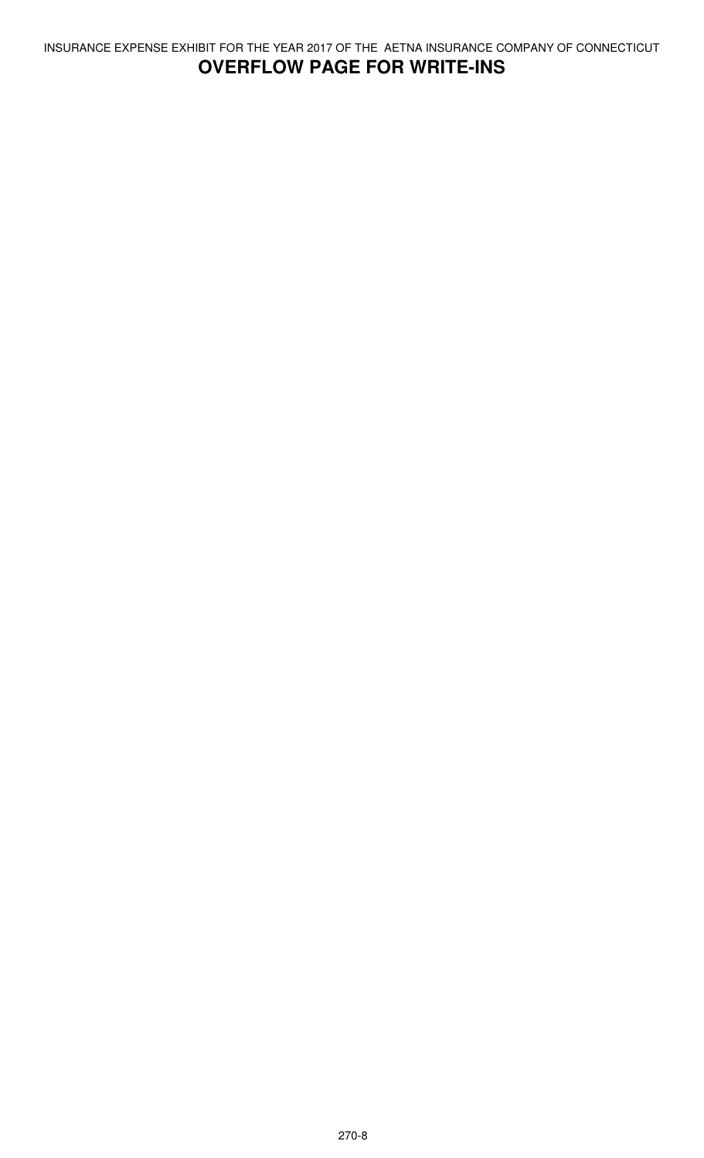# **OVERFLOW PAGE FOR WRITE-INS**

INSURANCE EXPENSE EXHIBIT FOR THE YEAR 2017 OF THE AETNA INSURANCE COMPANY OF CONNECTICUT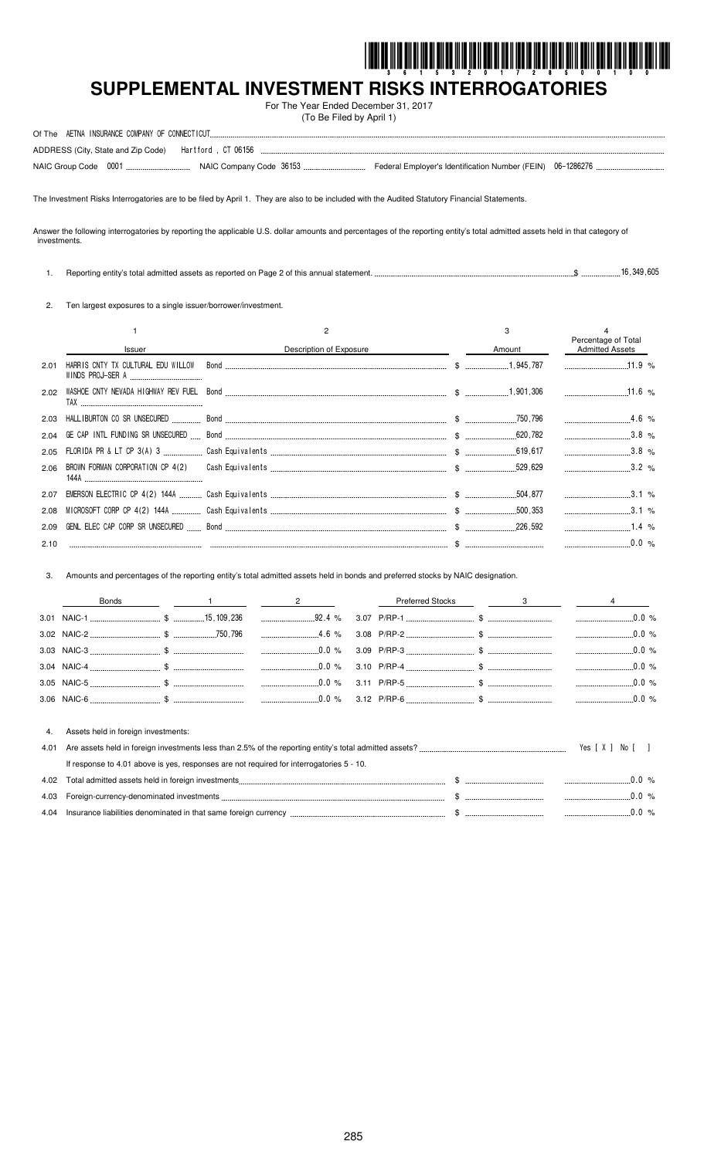

# **SUPPLEMENTAL INVESTMENT RISKS INTERROGATORIES**

For The Year Ended December 31, 2017 (To Be Filed by April 1)

The Investment Risks Interrogatories are to be filed by April 1. They are also to be included with the Audited Statutory Financial Statements.

Answer the following interrogatories by reporting the applicable U.S. dollar amounts and percentages of the reporting entity's total admitted assets held in that category of investments.

| Reporting entity's total admitted assets as reported on Page 2 of this annual statement. | 16.349.605 |  |
|------------------------------------------------------------------------------------------|------------|--|
|                                                                                          |            |  |

2. Ten largest exposures to a single issuer/borrower/investment.

|      |                                    |                                                                                                                                                                                                                               |        | Percentage of Total    |  |
|------|------------------------------------|-------------------------------------------------------------------------------------------------------------------------------------------------------------------------------------------------------------------------------|--------|------------------------|--|
|      | Issuer                             | Description of Exposure                                                                                                                                                                                                       | Amount | <b>Admitted Assets</b> |  |
| 2.01 | HARRIS CNTY TX CULTURAL EDU WILLOW |                                                                                                                                                                                                                               |        |                        |  |
| 2.02 |                                    |                                                                                                                                                                                                                               |        |                        |  |
| 2.03 |                                    | 1.6 % 4.6 % مليسى بينسيسى سى 750,796 مى بينسى بينسى بينسى بينسى بينسى بينسى بينسى بينسى بينسى المسابق المسابق المسابق المسابق المسابق المسابق المسابق المسابق المسابق المسابق المسابق المسابق المسابق المسابق المسابق المسابق |        |                        |  |
| 2.04 |                                    |                                                                                                                                                                                                                               |        |                        |  |
| 2.05 |                                    |                                                                                                                                                                                                                               |        |                        |  |
|      | 144A                               |                                                                                                                                                                                                                               |        |                        |  |
| 2.07 |                                    |                                                                                                                                                                                                                               |        |                        |  |
| 2.08 |                                    |                                                                                                                                                                                                                               |        |                        |  |
| 2.09 |                                    |                                                                                                                                                                                                                               |        | $1.4\%$                |  |
| 2.10 |                                    |                                                                                                                                                                                                                               |        |                        |  |

3. Amounts and percentages of the reporting entity's total admitted assets held in bonds and preferred stocks by NAIC designation.

|      | <b>Bonds</b>                                                                             |  |  | $\overline{2}$ |  | <b>Preferred Stocks</b> |  | 3 |                |
|------|------------------------------------------------------------------------------------------|--|--|----------------|--|-------------------------|--|---|----------------|
|      |                                                                                          |  |  |                |  |                         |  |   | .0.0%          |
|      |                                                                                          |  |  |                |  |                         |  |   | $0.0 \%$       |
|      |                                                                                          |  |  |                |  |                         |  |   |                |
|      |                                                                                          |  |  |                |  |                         |  |   |                |
|      |                                                                                          |  |  |                |  |                         |  |   | $0.0\%$        |
|      |                                                                                          |  |  |                |  |                         |  |   |                |
| -4.  | Assets held in foreign investments:                                                      |  |  |                |  |                         |  |   |                |
| 4.01 |                                                                                          |  |  |                |  |                         |  |   | Yes [ X ] No [ |
|      | If response to 4.01 above is yes, responses are not required for interrogatories 5 - 10. |  |  |                |  |                         |  |   |                |

| 4.02 | Total admitted assets held in foreign investments               |  |  |
|------|-----------------------------------------------------------------|--|--|
| 4.03 | Foreign-currency-denominated investments                        |  |  |
| 4.04 | Insurance liabilities denominated in that same foreign currency |  |  |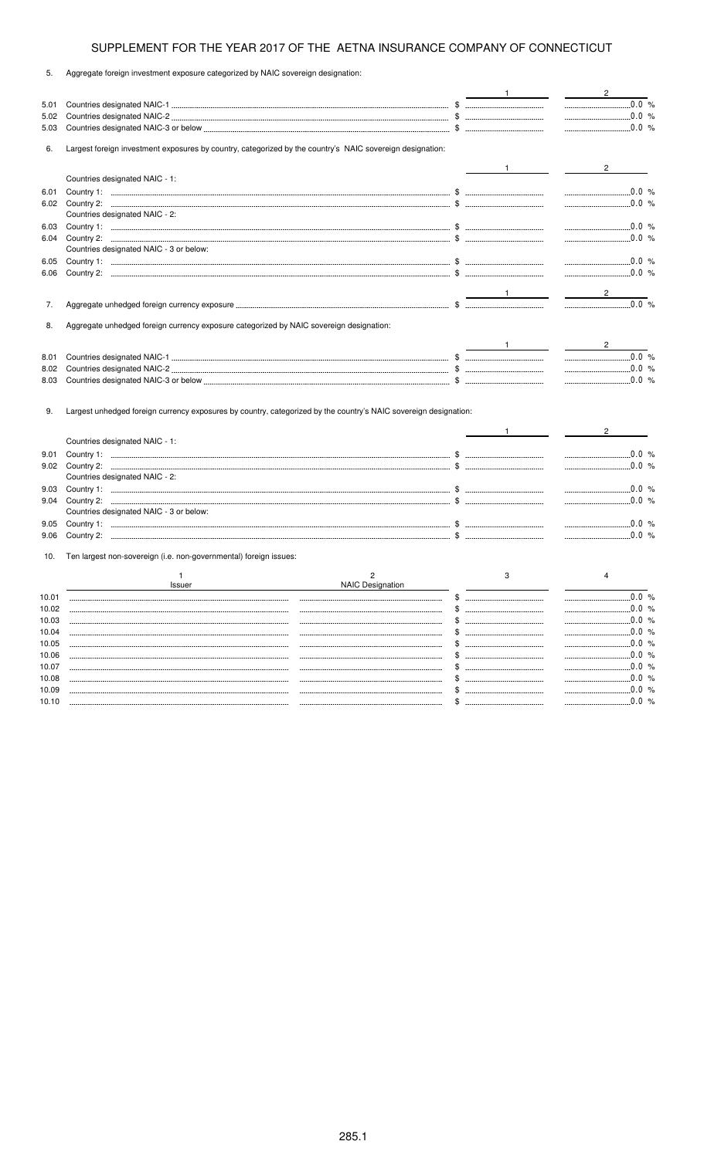| 5.             | Aggregate foreign investment exposure categorized by NAIC sovereign designation:                                 |                                                                                                                                                                                                                                                                                                                     |                                |
|----------------|------------------------------------------------------------------------------------------------------------------|---------------------------------------------------------------------------------------------------------------------------------------------------------------------------------------------------------------------------------------------------------------------------------------------------------------------|--------------------------------|
|                |                                                                                                                  |                                                                                                                                                                                                                                                                                                                     | $\overline{2}$                 |
| 5.01           |                                                                                                                  |                                                                                                                                                                                                                                                                                                                     | $\ldots$ 0.0 %                 |
| 5.02           |                                                                                                                  |                                                                                                                                                                                                                                                                                                                     | $\frac{1}{2}$ 0.0 %            |
| 5.03           |                                                                                                                  |                                                                                                                                                                                                                                                                                                                     |                                |
| 6.             | Largest foreign investment exposures by country, categorized by the country's NAIC sovereign designation:        |                                                                                                                                                                                                                                                                                                                     |                                |
|                |                                                                                                                  |                                                                                                                                                                                                                                                                                                                     |                                |
|                | Countries designated NAIC - 1:                                                                                   |                                                                                                                                                                                                                                                                                                                     |                                |
| 6.01           |                                                                                                                  |                                                                                                                                                                                                                                                                                                                     | $\ldots$ 0.0 %                 |
| 6.02           |                                                                                                                  |                                                                                                                                                                                                                                                                                                                     |                                |
|                | Countries designated NAIC - 2:                                                                                   |                                                                                                                                                                                                                                                                                                                     |                                |
| 6.03           |                                                                                                                  |                                                                                                                                                                                                                                                                                                                     | $\frac{1}{2}$ 0.0 %            |
| 6.04           |                                                                                                                  |                                                                                                                                                                                                                                                                                                                     | $\frac{0.0 \, \frac{9}{2}}{2}$ |
|                | Countries designated NAIC - 3 or below:                                                                          |                                                                                                                                                                                                                                                                                                                     |                                |
| 6.05           |                                                                                                                  |                                                                                                                                                                                                                                                                                                                     |                                |
| 6.06           |                                                                                                                  |                                                                                                                                                                                                                                                                                                                     | $\ldots$ 0.0 %                 |
|                |                                                                                                                  |                                                                                                                                                                                                                                                                                                                     | $\frac{2}{\sqrt{2}}$           |
| 7.             |                                                                                                                  |                                                                                                                                                                                                                                                                                                                     | $\frac{1}{2}$                  |
|                |                                                                                                                  |                                                                                                                                                                                                                                                                                                                     |                                |
| 8.             | Aggregate unhedged foreign currency exposure categorized by NAIC sovereign designation:                          |                                                                                                                                                                                                                                                                                                                     |                                |
|                |                                                                                                                  | $\frac{1}{2}$ $\frac{1}{2}$ $\frac{1}{2}$ $\frac{1}{2}$ $\frac{1}{2}$ $\frac{1}{2}$ $\frac{1}{2}$ $\frac{1}{2}$ $\frac{1}{2}$ $\frac{1}{2}$ $\frac{1}{2}$ $\frac{1}{2}$ $\frac{1}{2}$ $\frac{1}{2}$ $\frac{1}{2}$ $\frac{1}{2}$ $\frac{1}{2}$ $\frac{1}{2}$ $\frac{1}{2}$ $\frac{1}{2}$ $\frac{1}{2}$ $\frac{1}{2}$ | $2\overline{)}$                |
| 8.01           |                                                                                                                  |                                                                                                                                                                                                                                                                                                                     |                                |
| 8.02           |                                                                                                                  |                                                                                                                                                                                                                                                                                                                     | $\ldots$ 0.0 %                 |
| 8.03           |                                                                                                                  |                                                                                                                                                                                                                                                                                                                     |                                |
|                |                                                                                                                  |                                                                                                                                                                                                                                                                                                                     |                                |
| 9.             | Largest unhedged foreign currency exposures by country, categorized by the country's NAIC sovereign designation: |                                                                                                                                                                                                                                                                                                                     |                                |
|                |                                                                                                                  |                                                                                                                                                                                                                                                                                                                     |                                |
|                | Countries designated NAIC - 1:                                                                                   |                                                                                                                                                                                                                                                                                                                     |                                |
| 9.01           |                                                                                                                  |                                                                                                                                                                                                                                                                                                                     | $\frac{1}{2}$ 0.0 %            |
| 9.02           |                                                                                                                  |                                                                                                                                                                                                                                                                                                                     | $\frac{1}{2}$ 0.0 %            |
|                | Countries designated NAIC - 2:                                                                                   |                                                                                                                                                                                                                                                                                                                     |                                |
| 9.03           |                                                                                                                  |                                                                                                                                                                                                                                                                                                                     | $\ldots$ 0.0 %                 |
| 9.04           |                                                                                                                  |                                                                                                                                                                                                                                                                                                                     |                                |
|                | Countries designated NAIC - 3 or below:                                                                          |                                                                                                                                                                                                                                                                                                                     |                                |
| 9.05           |                                                                                                                  |                                                                                                                                                                                                                                                                                                                     |                                |
| 9.06           |                                                                                                                  |                                                                                                                                                                                                                                                                                                                     | $\ldots$ 0.0 %                 |
| 10.            | Ten largest non-sovereign (i.e. non-governmental) foreign issues:                                                |                                                                                                                                                                                                                                                                                                                     |                                |
|                | 1                                                                                                                | $\overline{2}$<br>3                                                                                                                                                                                                                                                                                                 |                                |
|                | Issuer                                                                                                           | <b>NAIC Designation</b>                                                                                                                                                                                                                                                                                             |                                |
| 10.01          |                                                                                                                  | --------------------------------------                                                                                                                                                                                                                                                                              | 0.0%                           |
| 10.02          |                                                                                                                  | \$<br>--------------------------------------                                                                                                                                                                                                                                                                        | 0.0%                           |
| 10.03          |                                                                                                                  | \$ …………………………………                                                                                                                                                                                                                                                                                                    | 0.0 %                          |
| 10.04          |                                                                                                                  |                                                                                                                                                                                                                                                                                                                     | .0.0%                          |
| 10.05          |                                                                                                                  |                                                                                                                                                                                                                                                                                                                     | .0.0%                          |
| 10.06<br>10.07 |                                                                                                                  |                                                                                                                                                                                                                                                                                                                     | $.0.0\%$                       |
| 10.08          |                                                                                                                  |                                                                                                                                                                                                                                                                                                                     | 0.0 %                          |
| 10.09          |                                                                                                                  | \$.                                                                                                                                                                                                                                                                                                                 | 0.0 %                          |
|                |                                                                                                                  |                                                                                                                                                                                                                                                                                                                     |                                |

10.10 \$ 0.0 %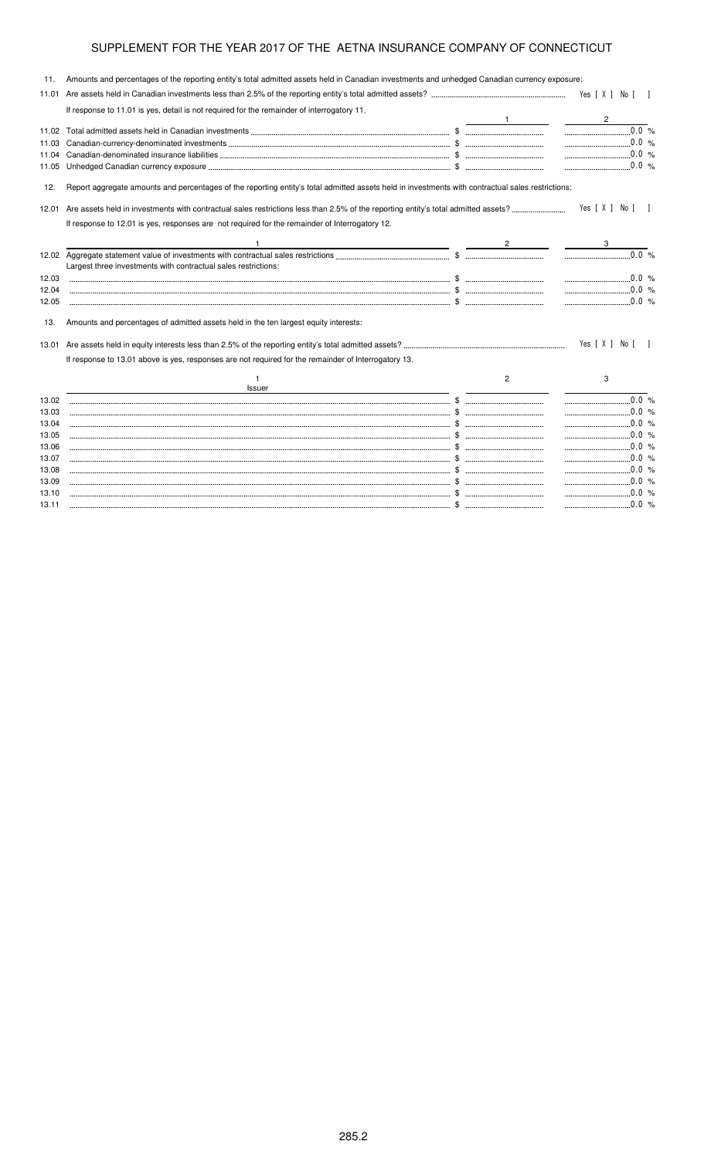| 11.   | Amounts and percentages of the reporting entity's total admitted assets held in Canadian investments and unhedged Canadian currency exposure:     |   |                         |
|-------|---------------------------------------------------------------------------------------------------------------------------------------------------|---|-------------------------|
| 11.01 |                                                                                                                                                   |   | Yes [ X ] No [ ]        |
|       | If response to 11.01 is yes, detail is not required for the remainder of interrogatory 11.                                                        |   |                         |
| 11.02 |                                                                                                                                                   |   | $\overline{c}$<br>0.0 % |
| 11.03 |                                                                                                                                                   |   |                         |
| 11.04 |                                                                                                                                                   |   | $\sim$ 0.0 %            |
| 11.05 |                                                                                                                                                   |   | $\ldots$ 0.0 %          |
| 12.   | Report aggregate amounts and percentages of the reporting entity's total admitted assets held in investments with contractual sales restrictions: |   |                         |
| 12.01 |                                                                                                                                                   |   | Yes [X ] No [ ]         |
|       | If response to 12.01 is yes, responses are not required for the remainder of Interrogatory 12.                                                    |   |                         |
|       |                                                                                                                                                   |   |                         |
|       |                                                                                                                                                   |   | 0.0%                    |
|       | Largest three investments with contractual sales restrictions:                                                                                    |   |                         |
| 12.03 |                                                                                                                                                   |   |                         |
| 12.04 |                                                                                                                                                   |   |                         |
| 12.05 |                                                                                                                                                   |   | $\ldots$ 0.0 %          |
| 13.   | Amounts and percentages of admitted assets held in the ten largest equity interests:                                                              |   |                         |
| 13.01 |                                                                                                                                                   |   | Yes [ X ] No [ ]        |
|       | If response to 13.01 above is yes, responses are not required for the remainder of Interrogatory 13.                                              |   |                         |
|       | <b>Issuer</b>                                                                                                                                     | 2 | 3                       |
| 13.02 |                                                                                                                                                   |   | $\ldots$ 0.0 %          |
| 13.03 |                                                                                                                                                   |   | $\ldots$ 0.0 %          |
| 13.04 |                                                                                                                                                   |   |                         |
| 13.05 |                                                                                                                                                   |   |                         |
| 13.06 |                                                                                                                                                   |   | $\ldots$ 0.0 %          |
| 13.07 |                                                                                                                                                   |   | $\ldots$ 0.0 %          |
| 13.08 |                                                                                                                                                   |   |                         |
| 13.09 |                                                                                                                                                   |   |                         |
| 13.10 |                                                                                                                                                   |   |                         |
| 13.11 |                                                                                                                                                   |   |                         |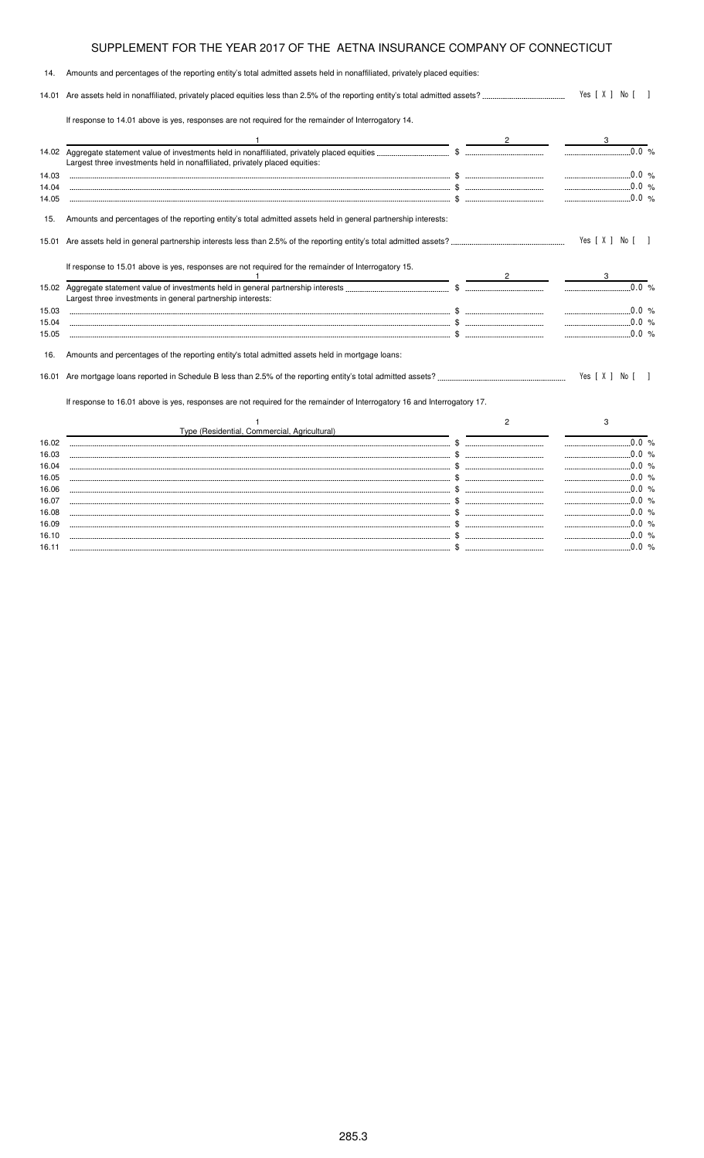| 14.   | Amounts and percentages of the reporting entity's total admitted assets held in nonaffiliated, privately placed equities: |                |                                                                |
|-------|---------------------------------------------------------------------------------------------------------------------------|----------------|----------------------------------------------------------------|
|       |                                                                                                                           |                | Yes [ X ] No [ ]                                               |
|       | If response to 14.01 above is yes, responses are not required for the remainder of Interrogatory 14.                      |                |                                                                |
|       |                                                                                                                           |                | 3                                                              |
|       | Largest three investments held in nonaffiliated, privately placed equities:                                               |                | $\ldots$ 0.0 %                                                 |
| 14.03 |                                                                                                                           |                |                                                                |
| 14.04 |                                                                                                                           |                | $\ldots$ 0.0 %                                                 |
| 14.05 |                                                                                                                           |                | $\ldots$ 0.0 %                                                 |
| 15.   | Amounts and percentages of the reporting entity's total admitted assets held in general partnership interests:            |                |                                                                |
| 15.01 |                                                                                                                           |                | Yes [ X ] No [ ]                                               |
|       | If response to 15.01 above is yes, responses are not required for the remainder of Interrogatory 15.                      |                |                                                                |
|       |                                                                                                                           |                | $0.0\%$                                                        |
|       | Largest three investments in general partnership interests:                                                               |                |                                                                |
| 15.03 |                                                                                                                           |                | $0.0\%$                                                        |
| 15.04 |                                                                                                                           |                | $\ldots$ 0.0 %                                                 |
| 15.05 |                                                                                                                           |                | $\ldots$ 0.0 %                                                 |
| 16.   | Amounts and percentages of the reporting entity's total admitted assets held in mortgage loans:                           |                |                                                                |
| 16.01 |                                                                                                                           |                | Yes [ X ] No [                                                 |
|       | If response to 16.01 above is yes, responses are not required for the remainder of Interrogatory 16 and Interrogatory 17. |                |                                                                |
|       |                                                                                                                           | $\overline{2}$ | 3                                                              |
|       | Type (Residential, Commercial, Agricultural)<br><u>and the state of the state of the sta</u> te of                        |                |                                                                |
| 16.02 |                                                                                                                           |                | $\begin{array}{ccc}\n0.0 & \frac{1}{2} \\ \hline\n\end{array}$ |
| 16.03 |                                                                                                                           |                | $\frac{1}{2}$ 0.0 %                                            |
| 16.04 |                                                                                                                           |                |                                                                |
| 16.05 |                                                                                                                           |                | $\ldots$ 0.0 %                                                 |
| 16.06 |                                                                                                                           |                |                                                                |
| 16.07 |                                                                                                                           |                | $\ldots$ 0.0 %                                                 |
| 16.08 |                                                                                                                           |                |                                                                |
| 16.09 |                                                                                                                           |                | $\ldots$ 0.0 %                                                 |
| 16.10 |                                                                                                                           |                | $\frac{1}{2}$ 0.0 %                                            |

16.11 \$ 0.0 %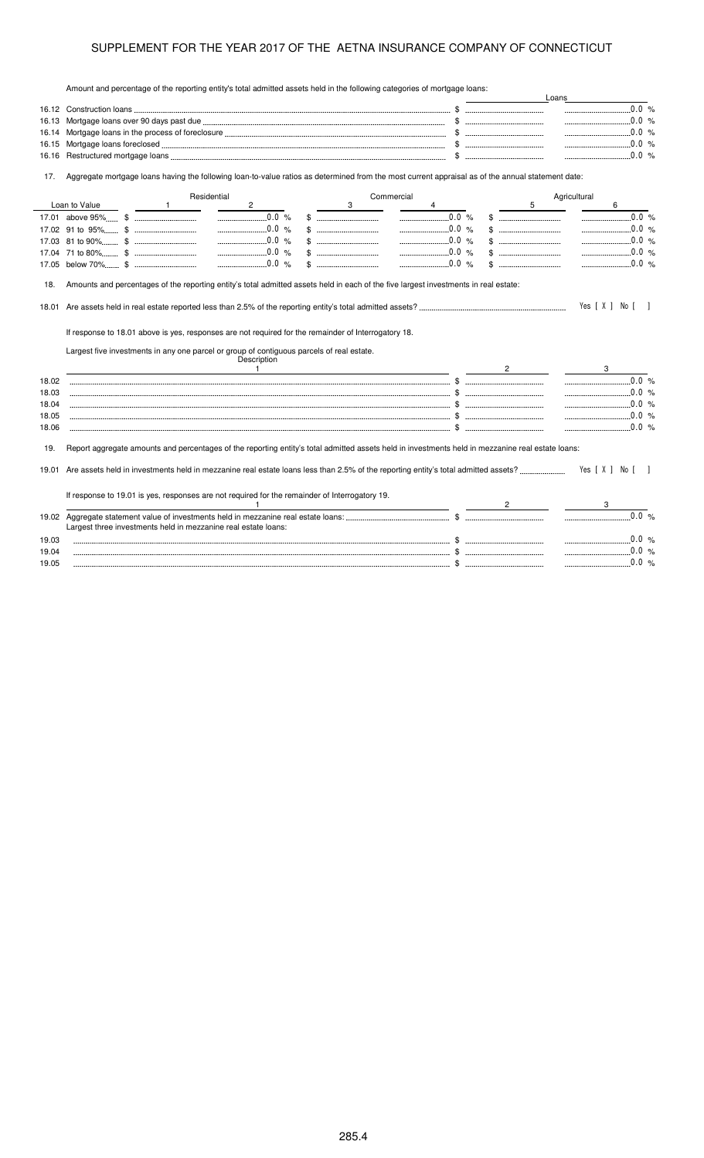Amount and percentage of the reporting entity's total admitted assets held in the following categories of mortgage loans:

|                                           | Amount and percentage of the reporting emity's total admitted assets held in the following categories of mongage loans.                                                                                          |                                                                                                                                                                                                                                                                                                                     | Loans                                                                                                                                                                                                                                                                                                                                                                                                                                                                    |  |
|-------------------------------------------|------------------------------------------------------------------------------------------------------------------------------------------------------------------------------------------------------------------|---------------------------------------------------------------------------------------------------------------------------------------------------------------------------------------------------------------------------------------------------------------------------------------------------------------------|--------------------------------------------------------------------------------------------------------------------------------------------------------------------------------------------------------------------------------------------------------------------------------------------------------------------------------------------------------------------------------------------------------------------------------------------------------------------------|--|
|                                           |                                                                                                                                                                                                                  |                                                                                                                                                                                                                                                                                                                     | $\begin{array}{ccc} \multicolumn{3}{c}{} & 0.0 \end{array}$                                                                                                                                                                                                                                                                                                                                                                                                              |  |
| 16.13                                     |                                                                                                                                                                                                                  |                                                                                                                                                                                                                                                                                                                     | $\frac{1}{2}$ 0.0 %                                                                                                                                                                                                                                                                                                                                                                                                                                                      |  |
| 16.14                                     |                                                                                                                                                                                                                  |                                                                                                                                                                                                                                                                                                                     |                                                                                                                                                                                                                                                                                                                                                                                                                                                                          |  |
| 16.15                                     |                                                                                                                                                                                                                  |                                                                                                                                                                                                                                                                                                                     | $\ldots$ 0.0 %                                                                                                                                                                                                                                                                                                                                                                                                                                                           |  |
| 16.16                                     |                                                                                                                                                                                                                  |                                                                                                                                                                                                                                                                                                                     | $0.0\%$                                                                                                                                                                                                                                                                                                                                                                                                                                                                  |  |
| 17.                                       | Aggregate mortgage loans having the following loan-to-value ratios as determined from the most current appraisal as of the annual statement date:                                                                |                                                                                                                                                                                                                                                                                                                     |                                                                                                                                                                                                                                                                                                                                                                                                                                                                          |  |
|                                           | Residential                                                                                                                                                                                                      | Commercial                                                                                                                                                                                                                                                                                                          | Agricultural                                                                                                                                                                                                                                                                                                                                                                                                                                                             |  |
|                                           | Loan to Value<br>$\mathbf{2}$<br>$\sim$ 1                                                                                                                                                                        | 3                                                                                                                                                                                                                                                                                                                   | 5<br>6                                                                                                                                                                                                                                                                                                                                                                                                                                                                   |  |
|                                           | $\ldots$ 0.0 %                                                                                                                                                                                                   | $\ldots$ 0.0 %                                                                                                                                                                                                                                                                                                      | $\begin{array}{ccc}\n&\multicolumn{3}{c}\n&\multicolumn{3}{c}\n&\multicolumn{3}{c}\n&\multicolumn{3}{c}\n&\multicolumn{3}{c}\n&\multicolumn{3}{c}\n&\multicolumn{3}{c}\n&\multicolumn{3}{c}\n&\multicolumn{3}{c}\n&\multicolumn{3}{c}\n&\multicolumn{3}{c}\n&\multicolumn{3}{c}\n&\multicolumn{3}{c}\n&\multicolumn{3}{c}\n&\multicolumn{3}{c}\n&\multicolumn{3}{c}\n&\multicolumn{3}{c}\n&\multicolumn{3}{c}\n&\multicolumn{3}{c}\n&\mult$<br>$\color{red} \texttt{\$}$ |  |
|                                           | $1.1$ 0.0 %                                                                                                                                                                                                      | $0.0\%$                                                                                                                                                                                                                                                                                                             | $\ldots$ 0.0 %                                                                                                                                                                                                                                                                                                                                                                                                                                                           |  |
|                                           | 0.0 %                                                                                                                                                                                                            | $\ldots$ 0.0 %<br>$\$\quad$                                                                                                                                                                                                                                                                                         | 0.0 %                                                                                                                                                                                                                                                                                                                                                                                                                                                                    |  |
|                                           | 0.0 %                                                                                                                                                                                                            | 0.0 %<br>$\mathbb{S}$ . The substitution of $\mathbb{S}$                                                                                                                                                                                                                                                            | 0.0 %<br>$\mathbb{S}$ . The subsequence of $\mathbb{S}$                                                                                                                                                                                                                                                                                                                                                                                                                  |  |
|                                           | $0.0\%$                                                                                                                                                                                                          | 0.0 %                                                                                                                                                                                                                                                                                                               | 0.0 %                                                                                                                                                                                                                                                                                                                                                                                                                                                                    |  |
| 18.01<br>18.02<br>18.03<br>18.04<br>18.05 | If response to 18.01 above is yes, responses are not required for the remainder of Interrogatory 18.<br>Largest five investments in any one parcel or group of contiguous parcels of real estate.<br>Description | $\frac{1}{2}$ $\frac{1}{2}$ $\frac{1}{2}$ $\frac{1}{2}$ $\frac{1}{2}$ $\frac{1}{2}$ $\frac{1}{2}$ $\frac{1}{2}$ $\frac{1}{2}$ $\frac{1}{2}$ $\frac{1}{2}$ $\frac{1}{2}$ $\frac{1}{2}$ $\frac{1}{2}$ $\frac{1}{2}$ $\frac{1}{2}$ $\frac{1}{2}$ $\frac{1}{2}$ $\frac{1}{2}$ $\frac{1}{2}$ $\frac{1}{2}$ $\frac{1}{2}$ | Yes [ X ] No [ ]<br>3<br>$\ldots$ 0.0 %<br>$\frac{1}{2}$ 0.0 %                                                                                                                                                                                                                                                                                                                                                                                                           |  |
| 18.06                                     |                                                                                                                                                                                                                  |                                                                                                                                                                                                                                                                                                                     | $\ldots$ 0.0 %                                                                                                                                                                                                                                                                                                                                                                                                                                                           |  |
| 19.                                       | Report aggregate amounts and percentages of the reporting entity's total admitted assets held in investments held in mezzanine real estate loans:                                                                |                                                                                                                                                                                                                                                                                                                     |                                                                                                                                                                                                                                                                                                                                                                                                                                                                          |  |
|                                           |                                                                                                                                                                                                                  |                                                                                                                                                                                                                                                                                                                     | Yes [ X ] No [ ]                                                                                                                                                                                                                                                                                                                                                                                                                                                         |  |
|                                           | If response to 19.01 is yes, responses are not required for the remainder of Interrogatory 19.<br>$\mathbf{1}$                                                                                                   |                                                                                                                                                                                                                                                                                                                     | $2 \left( \frac{1}{2} \right)$                                                                                                                                                                                                                                                                                                                                                                                                                                           |  |
|                                           |                                                                                                                                                                                                                  |                                                                                                                                                                                                                                                                                                                     |                                                                                                                                                                                                                                                                                                                                                                                                                                                                          |  |
|                                           |                                                                                                                                                                                                                  |                                                                                                                                                                                                                                                                                                                     |                                                                                                                                                                                                                                                                                                                                                                                                                                                                          |  |
|                                           | Largest three investments held in mezzanine real estate loans:                                                                                                                                                   |                                                                                                                                                                                                                                                                                                                     | $\ldots$ 0.0 %                                                                                                                                                                                                                                                                                                                                                                                                                                                           |  |
| 19.03                                     |                                                                                                                                                                                                                  |                                                                                                                                                                                                                                                                                                                     |                                                                                                                                                                                                                                                                                                                                                                                                                                                                          |  |
| 19.04                                     |                                                                                                                                                                                                                  |                                                                                                                                                                                                                                                                                                                     |                                                                                                                                                                                                                                                                                                                                                                                                                                                                          |  |
| 19.05                                     |                                                                                                                                                                                                                  |                                                                                                                                                                                                                                                                                                                     |                                                                                                                                                                                                                                                                                                                                                                                                                                                                          |  |